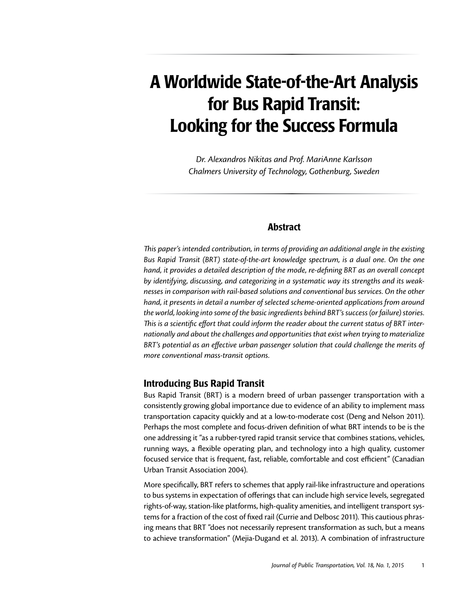# A Worldwide State-of-the-Art Analysis for Bus Rapid Transit: Looking for the Success Formula

*Dr. Alexandros Nikitas and Prof. MariAnne Karlsson Chalmers University of Technology, Gothenburg, Sweden*

## Abstract

*This paper's intended contribution, in terms of providing an additional angle in the existing Bus Rapid Transit (BRT) state-of-the-art knowledge spectrum, is a dual one. On the one hand, it provides a detailed description of the mode, re-defining BRT as an overall concept by identifying, discussing, and categorizing in a systematic way its strengths and its weaknesses in comparison with rail-based solutions and conventional bus services. On the other hand, it presents in detail a number of selected scheme-oriented applications from around the world, looking into some of the basic ingredients behind BRT's success (or failure) stories. This is a scientific effort that could inform the reader about the current status of BRT internationally and about the challenges and opportunities that exist when trying to materialize BRT's potential as an effective urban passenger solution that could challenge the merits of more conventional mass-transit options.* 

## Introducing Bus Rapid Transit

Bus Rapid Transit (BRT) is a modern breed of urban passenger transportation with a consistently growing global importance due to evidence of an ability to implement mass transportation capacity quickly and at a low-to-moderate cost (Deng and Nelson 2011). Perhaps the most complete and focus-driven definition of what BRT intends to be is the one addressing it "as a rubber-tyred rapid transit service that combines stations, vehicles, running ways, a flexible operating plan, and technology into a high quality, customer focused service that is frequent, fast, reliable, comfortable and cost efficient" (Canadian Urban Transit Association 2004).

More specifically, BRT refers to schemes that apply rail-like infrastructure and operations to bus systems in expectation of offerings that can include high service levels, segregated rights-of-way, station-like platforms, high-quality amenities, and intelligent transport systems for a fraction of the cost of fixed rail (Currie and Delbosc 2011). This cautious phrasing means that BRT "does not necessarily represent transformation as such, but a means to achieve transformation" (Mejia-Dugand et al. 2013). A combination of infrastructure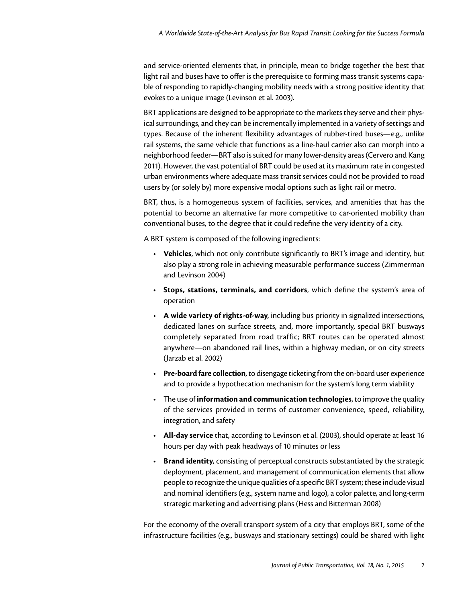and service-oriented elements that, in principle, mean to bridge together the best that light rail and buses have to offer is the prerequisite to forming mass transit systems capable of responding to rapidly-changing mobility needs with a strong positive identity that evokes to a unique image (Levinson et al. 2003).

BRT applications are designed to be appropriate to the markets they serve and their physical surroundings, and they can be incrementally implemented in a variety of settings and types. Because of the inherent flexibility advantages of rubber-tired buses—e.g., unlike rail systems, the same vehicle that functions as a line-haul carrier also can morph into a neighborhood feeder—BRT also is suited for many lower-density areas (Cervero and Kang 2011). However, the vast potential of BRT could be used at its maximum rate in congested urban environments where adequate mass transit services could not be provided to road users by (or solely by) more expensive modal options such as light rail or metro.

BRT, thus, is a homogeneous system of facilities, services, and amenities that has the potential to become an alternative far more competitive to car-oriented mobility than conventional buses, to the degree that it could redefine the very identity of a city.

A BRT system is composed of the following ingredients:

- • **Vehicles**, which not only contribute significantly to BRT's image and identity, but also play a strong role in achieving measurable performance success (Zimmerman and Levinson 2004)
- • **Stops, stations, terminals, and corridors**, which define the system's area of operation
- • **A wide variety of rights-of-way**, including bus priority in signalized intersections, dedicated lanes on surface streets, and, more importantly, special BRT busways completely separated from road traffic; BRT routes can be operated almost anywhere—on abandoned rail lines, within a highway median, or on city streets (Jarzab et al. 2002)
- • **Pre-board fare collection**, to disengage ticketing from the on-board user experience and to provide a hypothecation mechanism for the system's long term viability
- • The use of **information and communication technologies**, to improve the quality of the services provided in terms of customer convenience, speed, reliability, integration, and safety
- • **All-day service** that, according to Levinson et al. (2003), should operate at least 16 hours per day with peak headways of 10 minutes or less
- **Brand identity**, consisting of perceptual constructs substantiated by the strategic deployment, placement, and management of communication elements that allow people to recognize the unique qualities of a specific BRT system; these include visual and nominal identifiers (e.g., system name and logo), a color palette, and long-term strategic marketing and advertising plans (Hess and Bitterman 2008)

For the economy of the overall transport system of a city that employs BRT, some of the infrastructure facilities (e.g., busways and stationary settings) could be shared with light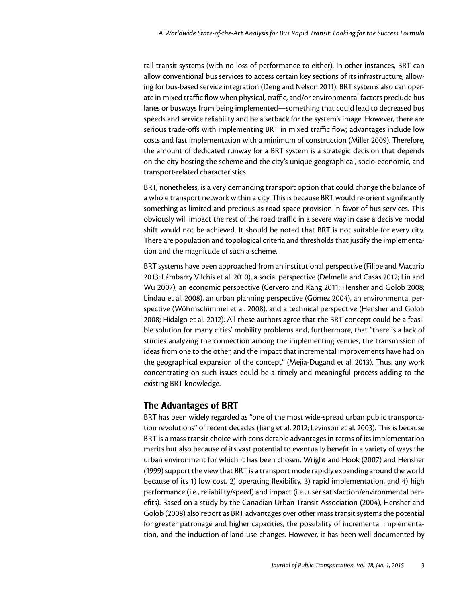rail transit systems (with no loss of performance to either). In other instances, BRT can allow conventional bus services to access certain key sections of its infrastructure, allowing for bus-based service integration (Deng and Nelson 2011). BRT systems also can operate in mixed traffic flow when physical, traffic, and/or environmental factors preclude bus lanes or busways from being implemented—something that could lead to decreased bus speeds and service reliability and be a setback for the system's image. However, there are serious trade-offs with implementing BRT in mixed traffic flow; advantages include low costs and fast implementation with a minimum of construction (Miller 2009). Therefore, the amount of dedicated runway for a BRT system is a strategic decision that depends on the city hosting the scheme and the city's unique geographical, socio-economic, and transport-related characteristics.

BRT, nonetheless, is a very demanding transport option that could change the balance of a whole transport network within a city. This is because BRT would re-orient significantly something as limited and precious as road space provision in favor of bus services. This obviously will impact the rest of the road traffic in a severe way in case a decisive modal shift would not be achieved. It should be noted that BRT is not suitable for every city. There are population and topological criteria and thresholds that justify the implementation and the magnitude of such a scheme.

BRT systems have been approached from an institutional perspective (Filipe and Macario 2013; Lámbarry Vilchis et al. 2010), a social perspective (Delmelle and Casas 2012; Lin and Wu 2007), an economic perspective (Cervero and Kang 2011; Hensher and Golob 2008; Lindau et al. 2008), an urban planning perspective (Gómez 2004), an environmental perspective (Wöhrnschimmel et al. 2008), and a technical perspective (Hensher and Golob 2008; Hidalgo et al. 2012). All these authors agree that the BRT concept could be a feasible solution for many cities' mobility problems and, furthermore, that "there is a lack of studies analyzing the connection among the implementing venues, the transmission of ideas from one to the other, and the impact that incremental improvements have had on the geographical expansion of the concept" (Mejia-Dugand et al. 2013). Thus, any work concentrating on such issues could be a timely and meaningful process adding to the existing BRT knowledge.

# The Advantages of BRT

BRT has been widely regarded as ''one of the most wide-spread urban public transportation revolutions'' of recent decades (Jiang et al. 2012; Levinson et al. 2003). This is because BRT is a mass transit choice with considerable advantages in terms of its implementation merits but also because of its vast potential to eventually benefit in a variety of ways the urban environment for which it has been chosen. Wright and Hook (2007) and Hensher (1999) support the view that BRT is a transport mode rapidly expanding around the world because of its 1) low cost, 2) operating flexibility, 3) rapid implementation, and 4) high performance (i.e., reliability/speed) and impact (i.e., user satisfaction/environmental benefits). Based on a study by the Canadian Urban Transit Association (2004), Hensher and Golob (2008) also report as BRT advantages over other mass transit systems the potential for greater patronage and higher capacities, the possibility of incremental implementation, and the induction of land use changes. However, it has been well documented by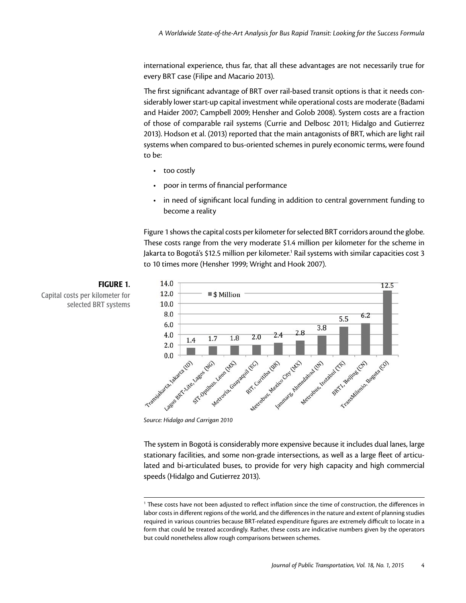international experience, thus far, that all these advantages are not necessarily true for every BRT case (Filipe and Macario 2013).

The first significant advantage of BRT over rail-based transit options is that it needs considerably lower start-up capital investment while operational costs are moderate (Badami and Haider 2007; Campbell 2009; Hensher and Golob 2008). System costs are a fraction of those of comparable rail systems (Currie and Delbosc 2011; Hidalgo and Gutierrez 2013). Hodson et al. (2013) reported that the main antagonists of BRT, which are light rail systems when compared to bus-oriented schemes in purely economic terms, were found to be:

- too costly
- poor in terms of financial performance
- in need of significant local funding in addition to central government funding to become a reality

Figure 1 shows the capital costs per kilometer for selected BRT corridors around the globe. These costs range from the very moderate \$1.4 million per kilometer for the scheme in Jakarta to Bogotá's \$12.5 million per kilometer.<sup>1</sup> Rail systems with similar capacities cost 3 to 10 times more (Hensher 1999; Wright and Hook 2007).



The system in Bogotá is considerably more expensive because it includes dual lanes, large stationary facilities, and some non-grade intersections, as well as a large fleet of articulated and bi-articulated buses, to provide for very high capacity and high commercial speeds (Hidalgo and Gutierrez 2013).

<sup>1</sup> These costs have not been adjusted to reflect inflation since the time of construction, the differences in labor costs in different regions of the world, and the differences in the nature and extent of planning studies required in various countries because BRT-related expenditure figures are extremely difficult to locate in a form that could be treated accordingly. Rather, these costs are indicative numbers given by the operators but could nonetheless allow rough comparisons between schemes.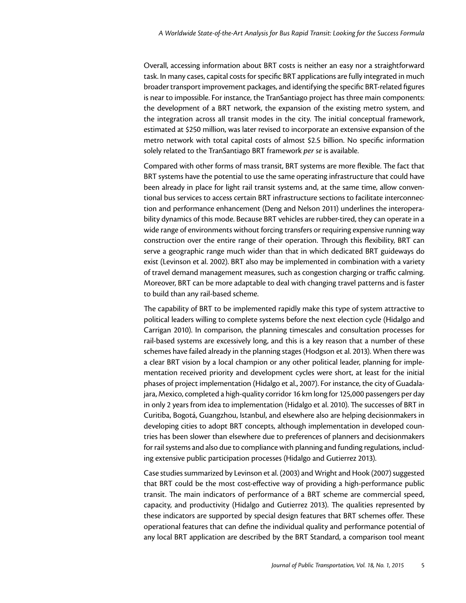Overall, accessing information about BRT costs is neither an easy nor a straightforward task. In many cases, capital costs for specific BRT applications are fully integrated in much broader transport improvement packages, and identifying the specific BRT-related figures is near to impossible. For instance, the TranSantiago project has three main components: the development of a BRT network, the expansion of the existing metro system, and the integration across all transit modes in the city. The initial conceptual framework, estimated at \$250 million, was later revised to incorporate an extensive expansion of the metro network with total capital costs of almost \$2.5 billion. No specific information solely related to the TranSantiago BRT framework *per se* is available.

Compared with other forms of mass transit, BRT systems are more flexible. The fact that BRT systems have the potential to use the same operating infrastructure that could have been already in place for light rail transit systems and, at the same time, allow conventional bus services to access certain BRT infrastructure sections to facilitate interconnection and performance enhancement (Deng and Nelson 2011) underlines the interoperability dynamics of this mode. Because BRT vehicles are rubber-tired, they can operate in a wide range of environments without forcing transfers or requiring expensive running way construction over the entire range of their operation. Through this flexibility, BRT can serve a geographic range much wider than that in which dedicated BRT guideways do exist (Levinson et al. 2002). BRT also may be implemented in combination with a variety of travel demand management measures, such as congestion charging or traffic calming. Moreover, BRT can be more adaptable to deal with changing travel patterns and is faster to build than any rail-based scheme.

The capability of BRT to be implemented rapidly make this type of system attractive to political leaders willing to complete systems before the next election cycle (Hidalgo and Carrigan 2010). In comparison, the planning timescales and consultation processes for rail-based systems are excessively long, and this is a key reason that a number of these schemes have failed already in the planning stages (Hodgson et al. 2013). When there was a clear BRT vision by a local champion or any other political leader, planning for implementation received priority and development cycles were short, at least for the initial phases of project implementation (Hidalgo et al., 2007). For instance, the city of Guadalajara, Mexico, completed a high-quality corridor 16 km long for 125,000 passengers per day in only 2 years from idea to implementation (Hidalgo et al. 2010). The successes of BRT in Curitiba, Bogotá, Guangzhou, Istanbul, and elsewhere also are helping decisionmakers in developing cities to adopt BRT concepts, although implementation in developed countries has been slower than elsewhere due to preferences of planners and decisionmakers for rail systems and also due to compliance with planning and funding regulations, including extensive public participation processes (Hidalgo and Gutierrez 2013).

Case studies summarized by Levinson et al. (2003) and Wright and Hook (2007) suggested that BRT could be the most cost-effective way of providing a high-performance public transit. The main indicators of performance of a BRT scheme are commercial speed, capacity, and productivity (Hidalgo and Gutierrez 2013). The qualities represented by these indicators are supported by special design features that BRT schemes offer. These operational features that can define the individual quality and performance potential of any local BRT application are described by the BRT Standard, a comparison tool meant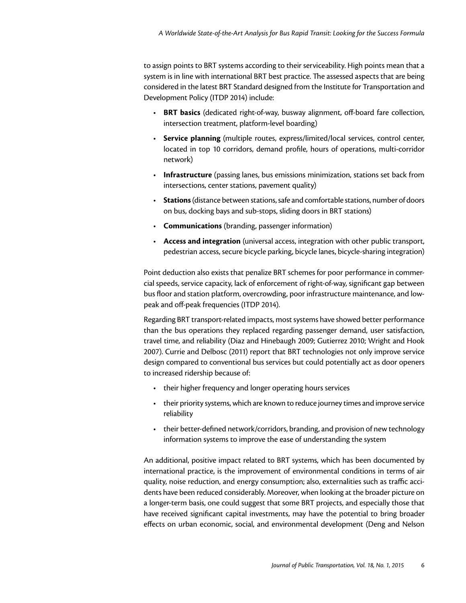to assign points to BRT systems according to their serviceability. High points mean that a system is in line with international BRT best practice. The assessed aspects that are being considered in the latest BRT Standard designed from the Institute for Transportation and Development Policy (ITDP 2014) include:

- • **BRT basics** (dedicated right-of-way, busway alignment, off-board fare collection, intersection treatment, platform-level boarding)
- • **Service planning** (multiple routes, express/limited/local services, control center, located in top 10 corridors, demand profile, hours of operations, multi-corridor network)
- • **Infrastructure** (passing lanes, bus emissions minimization, stations set back from intersections, center stations, pavement quality)
- • **Stations** (distance between stations, safe and comfortable stations, number of doors on bus, docking bays and sub-stops, sliding doors in BRT stations)
- • **Communications** (branding, passenger information)
- • **Access and integration** (universal access, integration with other public transport, pedestrian access, secure bicycle parking, bicycle lanes, bicycle-sharing integration)

Point deduction also exists that penalize BRT schemes for poor performance in commercial speeds, service capacity, lack of enforcement of right-of-way, significant gap between bus floor and station platform, overcrowding, poor infrastructure maintenance, and lowpeak and off-peak frequencies (ITDP 2014).

Regarding BRT transport-related impacts, most systems have showed better performance than the bus operations they replaced regarding passenger demand, user satisfaction, travel time, and reliability (Diaz and Hinebaugh 2009; Gutierrez 2010; Wright and Hook 2007). Currie and Delbosc (2011) report that BRT technologies not only improve service design compared to conventional bus services but could potentially act as door openers to increased ridership because of:

- their higher frequency and longer operating hours services
- their priority systems, which are known to reduce journey times and improve service reliability
- their better-defined network/corridors, branding, and provision of new technology information systems to improve the ease of understanding the system

An additional, positive impact related to BRT systems, which has been documented by international practice, is the improvement of environmental conditions in terms of air quality, noise reduction, and energy consumption; also, externalities such as traffic accidents have been reduced considerably. Moreover, when looking at the broader picture on a longer-term basis, one could suggest that some BRT projects, and especially those that have received significant capital investments, may have the potential to bring broader effects on urban economic, social, and environmental development (Deng and Nelson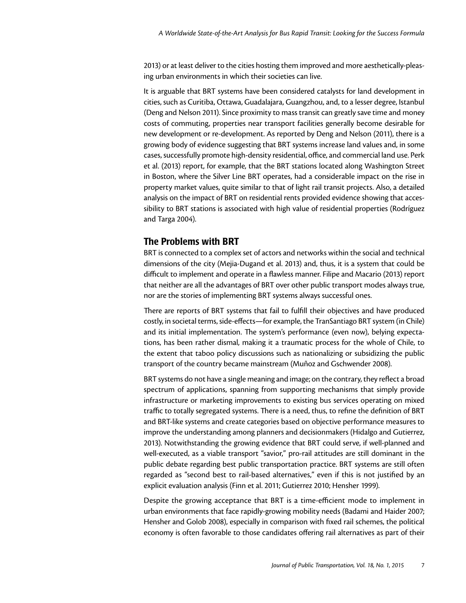2013) or at least deliver to the cities hosting them improved and more aesthetically-pleasing urban environments in which their societies can live.

It is arguable that BRT systems have been considered catalysts for land development in cities, such as Curitiba, Ottawa, Guadalajara, Guangzhou, and, to a lesser degree, Istanbul (Deng and Nelson 2011). Since proximity to mass transit can greatly save time and money costs of commuting, properties near transport facilities generally become desirable for new development or re-development. As reported by Deng and Nelson (2011), there is a growing body of evidence suggesting that BRT systems increase land values and, in some cases, successfully promote high-density residential, office, and commercial land use. Perk et al. (2013) report, for example, that the BRT stations located along Washington Street in Boston, where the Silver Line BRT operates, had a considerable impact on the rise in property market values, quite similar to that of light rail transit projects. Also, a detailed analysis on the impact of BRT on residential rents provided evidence showing that accessibility to BRT stations is associated with high value of residential properties (Rodríguez and Targa 2004).

# The Problems with BRT

BRT is connected to a complex set of actors and networks within the social and technical dimensions of the city (Mejia-Dugand et al. 2013) and, thus, it is a system that could be difficult to implement and operate in a flawless manner. Filipe and Macario (2013) report that neither are all the advantages of BRT over other public transport modes always true, nor are the stories of implementing BRT systems always successful ones.

There are reports of BRT systems that fail to fulfill their objectives and have produced costly, in societal terms, side-effects—for example, the TranSantiago BRT system (in Chile) and its initial implementation. The system's performance (even now), belying expectations, has been rather dismal, making it a traumatic process for the whole of Chile, to the extent that taboo policy discussions such as nationalizing or subsidizing the public transport of the country became mainstream (Muñoz and Gschwender 2008).

BRT systems do not have a single meaning and image; on the contrary, they reflect a broad spectrum of applications, spanning from supporting mechanisms that simply provide infrastructure or marketing improvements to existing bus services operating on mixed traffic to totally segregated systems. There is a need, thus, to refine the definition of BRT and BRT-like systems and create categories based on objective performance measures to improve the understanding among planners and decisionmakers (Hidalgo and Gutierrez, 2013). Notwithstanding the growing evidence that BRT could serve, if well-planned and well-executed, as a viable transport "savior," pro-rail attitudes are still dominant in the public debate regarding best public transportation practice. BRT systems are still often regarded as "second best to rail-based alternatives," even if this is not justified by an explicit evaluation analysis (Finn et al. 2011; Gutierrez 2010; Hensher 1999).

Despite the growing acceptance that BRT is a time-efficient mode to implement in urban environments that face rapidly-growing mobility needs (Badami and Haider 2007; Hensher and Golob 2008), especially in comparison with fixed rail schemes, the political economy is often favorable to those candidates offering rail alternatives as part of their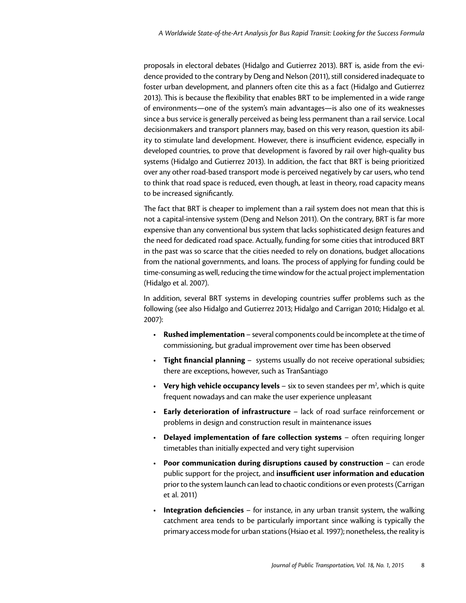proposals in electoral debates (Hidalgo and Gutierrez 2013). BRT is, aside from the evidence provided to the contrary by Deng and Nelson (2011), still considered inadequate to foster urban development, and planners often cite this as a fact (Hidalgo and Gutierrez 2013). This is because the flexibility that enables BRT to be implemented in a wide range of environments—one of the system's main advantages—is also one of its weaknesses since a bus service is generally perceived as being less permanent than a rail service. Local decisionmakers and transport planners may, based on this very reason, question its ability to stimulate land development. However, there is insufficient evidence, especially in developed countries, to prove that development is favored by rail over high-quality bus systems (Hidalgo and Gutierrez 2013). In addition, the fact that BRT is being prioritized over any other road-based transport mode is perceived negatively by car users, who tend to think that road space is reduced, even though, at least in theory, road capacity means to be increased significantly.

The fact that BRT is cheaper to implement than a rail system does not mean that this is not a capital-intensive system (Deng and Nelson 2011). On the contrary, BRT is far more expensive than any conventional bus system that lacks sophisticated design features and the need for dedicated road space. Actually, funding for some cities that introduced BRT in the past was so scarce that the cities needed to rely on donations, budget allocations from the national governments, and loans. The process of applying for funding could be time-consuming as well, reducing the time window for the actual project implementation (Hidalgo et al. 2007).

In addition, several BRT systems in developing countries suffer problems such as the following (see also Hidalgo and Gutierrez 2013; Hidalgo and Carrigan 2010; Hidalgo et al. 2007):

- • **Rushed implementation** several components could be incomplete at the time of commissioning, but gradual improvement over time has been observed
- **Tight financial planning** systems usually do not receive operational subsidies; there are exceptions, however, such as TranSantiago
- Very high vehicle occupancy levels six to seven standees per m<sup>2</sup>, which is quite frequent nowadays and can make the user experience unpleasant
- • **Early deterioration of infrastructure** lack of road surface reinforcement or problems in design and construction result in maintenance issues
- • **Delayed implementation of fare collection systems** often requiring longer timetables than initially expected and very tight supervision
- • **Poor communication during disruptions caused by construction** can erode public support for the project, and **insufficient user information and education** prior to the system launch can lead to chaotic conditions or even protests (Carrigan et al. 2011)
- • **Integration deficiencies** for instance, in any urban transit system, the walking catchment area tends to be particularly important since walking is typically the primary access mode for urban stations (Hsiao et al. 1997); nonetheless, the reality is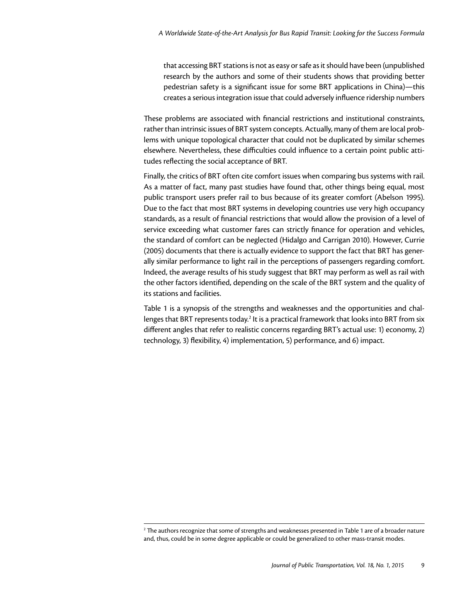that accessing BRT stations is not as easy or safe as it should have been (unpublished research by the authors and some of their students shows that providing better pedestrian safety is a significant issue for some BRT applications in China)—this creates a serious integration issue that could adversely influence ridership numbers

These problems are associated with financial restrictions and institutional constraints, rather than intrinsic issues of BRT system concepts. Actually, many of them are local problems with unique topological character that could not be duplicated by similar schemes elsewhere. Nevertheless, these difficulties could influence to a certain point public attitudes reflecting the social acceptance of BRT.

Finally, the critics of BRT often cite comfort issues when comparing bus systems with rail. As a matter of fact, many past studies have found that, other things being equal, most public transport users prefer rail to bus because of its greater comfort (Abelson 1995). Due to the fact that most BRT systems in developing countries use very high occupancy standards, as a result of financial restrictions that would allow the provision of a level of service exceeding what customer fares can strictly finance for operation and vehicles, the standard of comfort can be neglected (Hidalgo and Carrigan 2010). However, Currie (2005) documents that there is actually evidence to support the fact that BRT has generally similar performance to light rail in the perceptions of passengers regarding comfort. Indeed, the average results of his study suggest that BRT may perform as well as rail with the other factors identified, depending on the scale of the BRT system and the quality of its stations and facilities.

Table 1 is a synopsis of the strengths and weaknesses and the opportunities and challenges that BRT represents today.<sup>2</sup> It is a practical framework that looks into BRT from six different angles that refer to realistic concerns regarding BRT's actual use: 1) economy, 2) technology, 3) flexibility, 4) implementation, 5) performance, and 6) impact.

 $^{\rm 2}$  The authors recognize that some of strengths and weaknesses presented in Table 1 are of a broader nature and, thus, could be in some degree applicable or could be generalized to other mass-transit modes.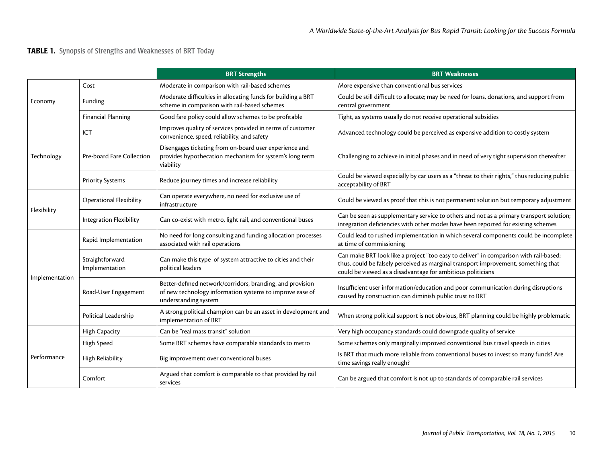# TABLE 1. Synopsis of Strengths and Weaknesses of BRT Today

|                |                                   | <b>BRT Strengths</b>                                                                                                                          | <b>BRT Weaknesses</b>                                                                                                                                                                                                                      |  |  |
|----------------|-----------------------------------|-----------------------------------------------------------------------------------------------------------------------------------------------|--------------------------------------------------------------------------------------------------------------------------------------------------------------------------------------------------------------------------------------------|--|--|
| Economy        | Cost                              | Moderate in comparison with rail-based schemes                                                                                                | More expensive than conventional bus services                                                                                                                                                                                              |  |  |
|                | Funding                           | Moderate difficulties in allocating funds for building a BRT<br>scheme in comparison with rail-based schemes                                  | Could be still difficult to allocate; may be need for loans, donations, and support from<br>central government                                                                                                                             |  |  |
|                | <b>Financial Planning</b>         | Good fare policy could allow schemes to be profitable                                                                                         | Tight, as systems usually do not receive operational subsidies                                                                                                                                                                             |  |  |
| Technology     | ICT.                              | Improves quality of services provided in terms of customer<br>convenience, speed, reliability, and safety                                     | Advanced technology could be perceived as expensive addition to costly system                                                                                                                                                              |  |  |
|                | Pre-board Fare Collection         | Disengages ticketing from on-board user experience and<br>provides hypothecation mechanism for system's long term<br>viability                | Challenging to achieve in initial phases and in need of very tight supervision thereafter                                                                                                                                                  |  |  |
|                | <b>Priority Systems</b>           | Reduce journey times and increase reliability                                                                                                 | Could be viewed especially by car users as a "threat to their rights," thus reducing public<br>acceptability of BRT                                                                                                                        |  |  |
| Flexibility    | <b>Operational Flexibility</b>    | Can operate everywhere, no need for exclusive use of<br>infrastructure                                                                        | Could be viewed as proof that this is not permanent solution but temporary adjustment                                                                                                                                                      |  |  |
|                | Integration Flexibility           | Can co-exist with metro, light rail, and conventional buses                                                                                   | Can be seen as supplementary service to others and not as a primary transport solution;<br>integration deficiencies with other modes have been reported for existing schemes                                                               |  |  |
| Implementation | Rapid Implementation              | No need for long consulting and funding allocation processes<br>associated with rail operations                                               | Could lead to rushed implementation in which several components could be incomplete<br>at time of commissioning                                                                                                                            |  |  |
|                | Straightforward<br>Implementation | Can make this type of system attractive to cities and their<br>political leaders                                                              | Can make BRT look like a project "too easy to deliver" in comparison with rail-based;<br>thus, could be falsely perceived as marginal transport improvement, something that<br>could be viewed as a disadvantage for ambitious politicians |  |  |
|                | Road-User Engagement              | Better-defined network/corridors, branding, and provision<br>of new technology information systems to improve ease of<br>understanding system | Insufficient user information/education and poor communication during disruptions<br>caused by construction can diminish public trust to BRT                                                                                               |  |  |
|                | Political Leadership              | A strong political champion can be an asset in development and<br>implementation of BRT                                                       | When strong political support is not obvious, BRT planning could be highly problematic                                                                                                                                                     |  |  |
| Performance    | <b>High Capacity</b>              | Can be "real mass transit" solution                                                                                                           | Very high occupancy standards could downgrade quality of service                                                                                                                                                                           |  |  |
|                | High Speed                        | Some BRT schemes have comparable standards to metro                                                                                           | Some schemes only marginally improved conventional bus travel speeds in cities                                                                                                                                                             |  |  |
|                | High Reliability                  | Big improvement over conventional buses                                                                                                       | Is BRT that much more reliable from conventional buses to invest so many funds? Are<br>time savings really enough?                                                                                                                         |  |  |
|                | Comfort                           | Argued that comfort is comparable to that provided by rail<br>services                                                                        | Can be argued that comfort is not up to standards of comparable rail services                                                                                                                                                              |  |  |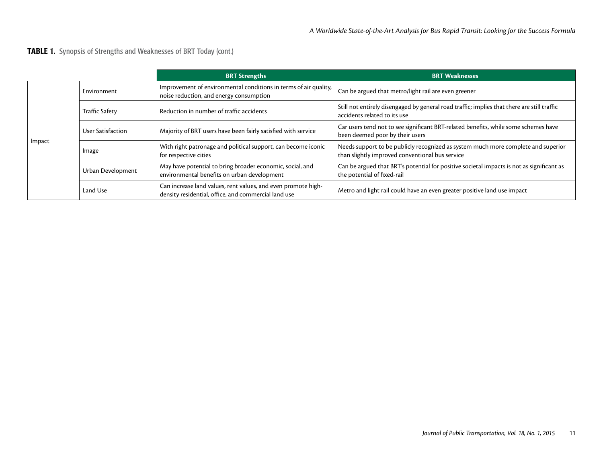TABLE 1. Synopsis of Strengths and Weaknesses of BRT Today (cont.)

|        |                       | <b>BRT Strengths</b>                                                                                                  | <b>BRT Weaknesses</b>                                                                                                                |  |
|--------|-----------------------|-----------------------------------------------------------------------------------------------------------------------|--------------------------------------------------------------------------------------------------------------------------------------|--|
| Impact | Environment           | Improvement of environmental conditions in terms of air quality,<br>noise reduction, and energy consumption           | Can be argued that metro/light rail are even greener                                                                                 |  |
|        | <b>Traffic Safety</b> | Reduction in number of traffic accidents                                                                              | Still not entirely disengaged by general road traffic; implies that there are still traffic<br>accidents related to its use          |  |
|        | User Satisfaction     | Majority of BRT users have been fairly satisfied with service                                                         | Car users tend not to see significant BRT-related benefits, while some schemes have<br>been deemed poor by their users               |  |
|        | Image                 | With right patronage and political support, can become iconic<br>for respective cities                                | Needs support to be publicly recognized as system much more complete and superior<br>than slightly improved conventional bus service |  |
|        | Urban Development     | May have potential to bring broader economic, social, and<br>environmental benefits on urban development              | Can be argued that BRT's potential for positive societal impacts is not as significant as<br>the potential of fixed-rail             |  |
|        | Land Use              | Can increase land values, rent values, and even promote high-<br>density residential, office, and commercial land use | Metro and light rail could have an even greater positive land use impact                                                             |  |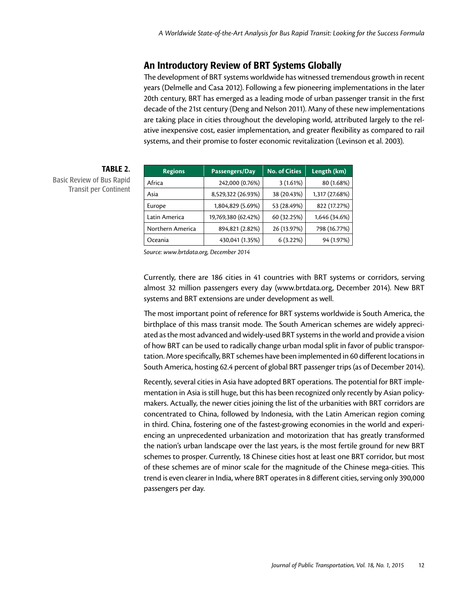# An Introductory Review of BRT Systems Globally

The development of BRT systems worldwide has witnessed tremendous growth in recent years (Delmelle and Casa 2012). Following a few pioneering implementations in the later 20th century, BRT has emerged as a leading mode of urban passenger transit in the first decade of the 21st century (Deng and Nelson 2011). Many of these new implementations are taking place in cities throughout the developing world, attributed largely to the relative inexpensive cost, easier implementation, and greater flexibility as compared to rail systems, and their promise to foster economic revitalization (Levinson et al. 2003).

| <b>Regions</b>   | Passengers/Day      | <b>No. of Cities</b> | Length (km)    |
|------------------|---------------------|----------------------|----------------|
| Africa           | 242,000 (0.76%)     | 3(1.61%)             | 80 (1.68%)     |
| Asia             | 8,529,322 (26.93%)  | 38 (20.43%)          | 1,317 (27.68%) |
| Europe           | 1,804,829 (5.69%)   | 53 (28.49%)          | 822 (17.27%)   |
| Latin America    | 19,769,380 (62.42%) | 60 (32.25%)          | 1,646 (34.6%)  |
| Northern America | 894,821 (2.82%)     | 26 (13.97%)          | 798 (16.77%)   |
| Oceania          | 430,041 (1.35%)     | 6(3.22%)             | 94 (1.97%)     |

# TABLE 2.

Basic Review of Bus Rapid Transit per Continent

*Source: [www.brtdata.org,](www.brtdata.org) December 2014*

Currently, there are 186 cities in 41 countries with BRT systems or corridors, serving almost 32 million passengers every day [\(www.brtdata.org,](www.brtdata.org) December 2014). New BRT systems and BRT extensions are under development as well.

The most important point of reference for BRT systems worldwide is South America, the birthplace of this mass transit mode. The South American schemes are widely appreciated as the most advanced and widely-used BRT systems in the world and provide a vision of how BRT can be used to radically change urban modal split in favor of public transportation. More specifically, BRT schemes have been implemented in 60 different locations in South America, hosting 62.4 percent of global BRT passenger trips (as of December 2014).

Recently, several cities in Asia have adopted BRT operations. The potential for BRT implementation in Asia is still huge, but this has been recognized only recently by Asian policymakers. Actually, the newer cities joining the list of the urbanities with BRT corridors are concentrated to China, followed by Indonesia, with the Latin American region coming in third. China, fostering one of the fastest-growing economies in the world and experiencing an unprecedented urbanization and motorization that has greatly transformed the nation's urban landscape over the last years, is the most fertile ground for new BRT schemes to prosper. Currently, 18 Chinese cities host at least one BRT corridor, but most of these schemes are of minor scale for the magnitude of the Chinese mega-cities. This trend is even clearer in India, where BRT operates in 8 different cities, serving only 390,000 passengers per day.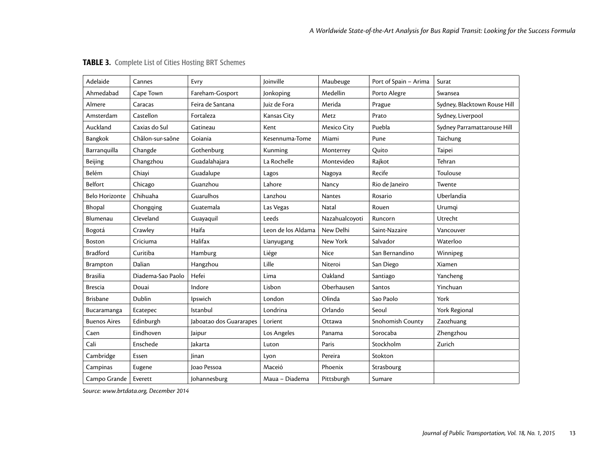| Adelaide              | Cannes            | Evry                    | <b>loinville</b>   | Maubeuge       | Port of Spain - Arima | Surat                        |
|-----------------------|-------------------|-------------------------|--------------------|----------------|-----------------------|------------------------------|
| Ahmedabad             | Cape Town         | Fareham-Gosport         | Jonkoping          | Medellin       | Porto Alegre          | Swansea                      |
| Almere                | Caracas           | Feira de Santana        | Juiz de Fora       | Merida         | Prague                | Sydney, Blacktown Rouse Hill |
| Amsterdam             | Castellon         | Fortaleza               | Kansas City        | Metz           | Prato                 | Sydney, Liverpool            |
| Auckland              | Caxias do Sul     | Gatineau                | Kent               | Mexico City    | Puebla                | Sydney Parramattarouse Hill  |
| Bangkok               | Châlon-sur-saône  | Goiania                 | Kesennuma-Tome     | Miami          | Pune                  | Taichung                     |
| Barranquilla          | Changde           | Gothenburg              | Kunming            | Monterrey      | Quito                 | Taipei                       |
| Beijing               | Changzhou         | Guadalahajara           | La Rochelle        | Montevideo     | Rajkot                | Tehran                       |
| Belém                 | Chiayi            | Guadalupe               | Lagos              | Nagoya         | Recife                | Toulouse                     |
| Belfort               | Chicago           | Guanzhou                | Lahore             | Nancy          | Rio de Janeiro        | Twente                       |
| <b>Belo Horizonte</b> | Chihuaha          | Guarulhos               | Lanzhou            | <b>Nantes</b>  | Rosario               | Uberlandia                   |
| Bhopal                | Chongqing         | Guatemala               | Las Vegas          | Natal          | Rouen                 | Urumqi                       |
| Blumenau              | Cleveland         | Guayaquil               | Leeds              | Nazahualcoyoti | Runcorn               | Utrecht                      |
| Bogotá                | Crawley           | Haifa                   | Leon de los Aldama | New Delhi      | Saint-Nazaire         | Vancouver                    |
| Boston                | Criciuma          | Halifax                 | Lianyugang         | New York       | Salvador              | Waterloo                     |
| <b>Bradford</b>       | Curitiba          | Hamburg                 | Liége              | Nice           | San Bernandino        | Winnipeg                     |
| Brampton              | Dalian            | Hangzhou                | Lille              | Niteroi        | San Diego             | Xiamen                       |
| <b>Brasilia</b>       | Diadema-Sao Paolo | Hefei                   | Lima               | Oakland        | Santiago              | Yancheng                     |
| <b>Brescia</b>        | Douai             | Indore                  | Lisbon             | Oberhausen     | Santos                | Yinchuan                     |
| <b>Brisbane</b>       | Dublin            | Ipswich                 | London             | Olinda         | Sao Paolo             | York                         |
| Bucaramanga           | Ecatepec          | Istanbul                | Londrina           | Orlando        | Seoul                 | York Regional                |
| <b>Buenos Aires</b>   | Edinburgh         | Jaboatao dos Guararapes | Lorient            | Ottawa         | Snohomish County      | Zaozhuang                    |
| Caen                  | Eindhoven         | Jaipur                  | Los Angeles        | Panama         | Sorocaba              | Zhengzhou                    |
| Cali                  | Enschede          | Jakarta                 | Luton              | Paris          | Stockholm             | Zurich                       |
| Cambridge             | Essen             | linan                   | Lyon               | Pereira        | Stokton               |                              |
| Campinas              | Eugene            | Ioao Pessoa             | Maceió             | Phoenix        | Strasbourg            |                              |
| Campo Grande          | Everett           | Johannesburg            | Maua - Diadema     | Pittsburgh     | Sumare                |                              |

# TABLE 3. Complete List of Cities Hosting BRT Schemes

*Source: [www.brtdata.org,](www.brtdata.org) December 2014*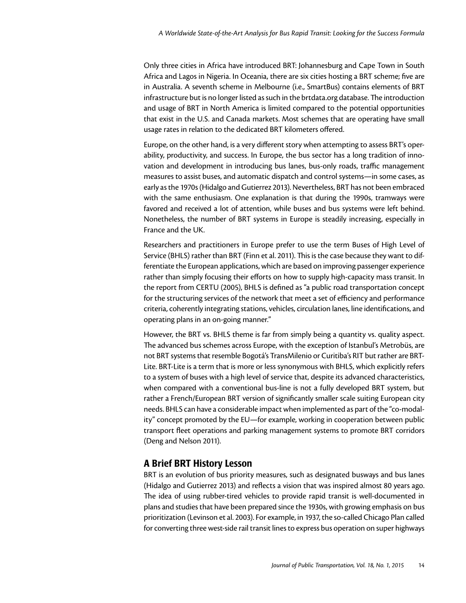Only three cities in Africa have introduced BRT: Johannesburg and Cape Town in South Africa and Lagos in Nigeria. In Oceania, there are six cities hosting a BRT scheme; five are in Australia. A seventh scheme in Melbourne (i.e., SmartBus) contains elements of BRT infrastructure but is no longer listed as such in the<brtdata.org>database. The introduction and usage of BRT in North America is limited compared to the potential opportunities that exist in the U.S. and Canada markets. Most schemes that are operating have small usage rates in relation to the dedicated BRT kilometers offered.

Europe, on the other hand, is a very different story when attempting to assess BRT's operability, productivity, and success. In Europe, the bus sector has a long tradition of innovation and development in introducing bus lanes, bus-only roads, traffic management measures to assist buses, and automatic dispatch and control systems—in some cases, as early as the 1970s (Hidalgo and Gutierrez 2013). Nevertheless, BRT has not been embraced with the same enthusiasm. One explanation is that during the 1990s, tramways were favored and received a lot of attention, while buses and bus systems were left behind. Nonetheless, the number of BRT systems in Europe is steadily increasing, especially in France and the UK.

Researchers and practitioners in Europe prefer to use the term Buses of High Level of Service (BHLS) rather than BRT (Finn et al. 2011). This is the case because they want to differentiate the European applications, which are based on improving passenger experience rather than simply focusing their efforts on how to supply high-capacity mass transit. In the report from CERTU (2005), BHLS is defined as "a public road transportation concept for the structuring services of the network that meet a set of efficiency and performance criteria, coherently integrating stations, vehicles, circulation lanes, line identifications, and operating plans in an on-going manner."

However, the BRT vs. BHLS theme is far from simply being a quantity vs. quality aspect. The advanced bus schemes across Europe, with the exception of Istanbul's Metrobüs, are not BRT systems that resemble Bogotá's TransMilenio or Curitiba's RIT but rather are BRT-Lite. BRT-Lite is a term that is more or less synonymous with BHLS, which explicitly refers to a system of buses with a high level of service that, despite its advanced characteristics, when compared with a conventional bus-line is not a fully developed BRT system, but rather a French/European BRT version of significantly smaller scale suiting European city needs. BHLS can have a considerable impact when implemented as part of the "co-modality" concept promoted by the EU—for example, working in cooperation between public transport fleet operations and parking management systems to promote BRT corridors (Deng and Nelson 2011).

# A Brief BRT History Lesson

BRT is an evolution of bus priority measures, such as designated busways and bus lanes (Hidalgo and Gutierrez 2013) and reflects a vision that was inspired almost 80 years ago. The idea of using rubber-tired vehicles to provide rapid transit is well-documented in plans and studies that have been prepared since the 1930s, with growing emphasis on bus prioritization (Levinson et al. 2003). For example, in 1937, the so-called Chicago Plan called for converting three west-side rail transit lines to express bus operation on super highways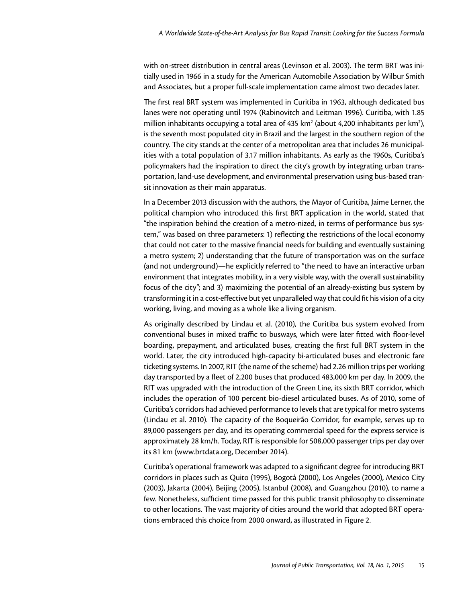with on-street distribution in central areas (Levinson et al. 2003). The term BRT was initially used in 1966 in a study for the American Automobile Association by Wilbur Smith and Associates, but a proper full-scale implementation came almost two decades later.

The first real BRT system was implemented in Curitiba in 1963, although dedicated bus lanes were not operating until 1974 (Rabinovitch and Leitman 1996). Curitiba, with 1.85 million inhabitants occupying a total area of 435 km<sup>2</sup> (about 4,200 inhabitants per km<sup>2</sup>), is the seventh most populated city in Brazil and the largest in the southern region of the country. The city stands at the center of a metropolitan area that includes 26 municipalities with a total population of 3.17 million inhabitants. As early as the 1960s, Curitiba's policymakers had the inspiration to direct the city's growth by integrating urban transportation, land-use development, and environmental preservation using bus-based transit innovation as their main apparatus.

In a December 2013 discussion with the authors, the Mayor of Curitiba, Jaime Lerner, the political champion who introduced this first BRT application in the world, stated that "the inspiration behind the creation of a metro-nized, in terms of performance bus system," was based on three parameters: 1) reflecting the restrictions of the local economy that could not cater to the massive financial needs for building and eventually sustaining a metro system; 2) understanding that the future of transportation was on the surface (and not underground)—he explicitly referred to "the need to have an interactive urban environment that integrates mobility, in a very visible way, with the overall sustainability focus of the city"; and 3) maximizing the potential of an already-existing bus system by transforming it in a cost-effective but yet unparalleled way that could fit his vision of a city working, living, and moving as a whole like a living organism.

As originally described by Lindau et al. (2010), the Curitiba bus system evolved from conventional buses in mixed traffic to busways, which were later fitted with floor-level boarding, prepayment, and articulated buses, creating the first full BRT system in the world. Later, the city introduced high-capacity bi-articulated buses and electronic fare ticketing systems. In 2007, RIT (the name of the scheme) had 2.26 million trips per working day transported by a fleet of 2,200 buses that produced 483,000 km per day. In 2009, the RIT was upgraded with the introduction of the Green Line, its sixth BRT corridor, which includes the operation of 100 percent bio-diesel articulated buses. As of 2010, some of Curitiba's corridors had achieved performance to levels that are typical for metro systems (Lindau et al. 2010). The capacity of the Boqueirão Corridor, for example, serves up to 89,000 passengers per day, and its operating commercial speed for the express service is approximately 28 km/h. Today, RIT is responsible for 508,000 passenger trips per day over its 81 km [\(www.brtdata.org,](www.brtdata.org) December 2014).

Curitiba's operational framework was adapted to a significant degree for introducing BRT corridors in places such as Quito (1995), Bogotá (2000), Los Angeles (2000), Mexico City (2003), Jakarta (2004), Beijing (2005), Istanbul (2008), and Guangzhou (2010), to name a few. Nonetheless, sufficient time passed for this public transit philosophy to disseminate to other locations. The vast majority of cities around the world that adopted BRT operations embraced this choice from 2000 onward, as illustrated in Figure 2.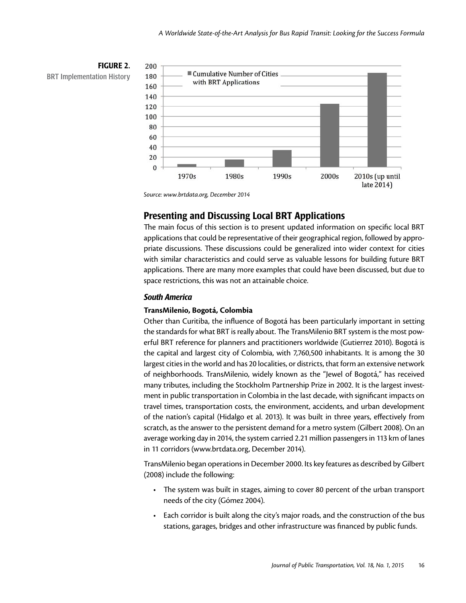

*Source: [www.brtdata.org,](www.brtdata.org) December 2014*

# Presenting and Discussing Local BRT Applications

The main focus of this section is to present updated information on specific local BRT applications that could be representative of their geographical region, followed by appropriate discussions. These discussions could be generalized into wider context for cities with similar characteristics and could serve as valuable lessons for building future BRT applications. There are many more examples that could have been discussed, but due to space restrictions, this was not an attainable choice.

## *South America*

#### **TransMilenio, Bogotá, Colombia**

Other than Curitiba, the influence of Bogotá has been particularly important in setting the standards for what BRT is really about. The TransMilenio BRT system is the most powerful BRT reference for planners and practitioners worldwide (Gutierrez 2010). Bogotá is the capital and largest city of Colombia, with 7,760,500 inhabitants. It is among the 30 largest cities in the world and has 20 localities, or districts, that form an extensive network of neighborhoods. TransMilenio, widely known as the "Jewel of Bogotá," has received many tributes, including the Stockholm Partnership Prize in 2002. It is the largest investment in public transportation in Colombia in the last decade, with significant impacts on travel times, transportation costs, the environment, accidents, and urban development of the nation's capital (Hidalgo et al. 2013). It was built in three years, effectively from scratch, as the answer to the persistent demand for a metro system (Gilbert 2008). On an average working day in 2014, the system carried 2.21 million passengers in 113 km of lanes in 11 corridors [\(www.brtdata.org,](www.brtdata.org) December 2014).

TransMilenio began operations in December 2000. Its key features as described by Gilbert (2008) include the following:

- The system was built in stages, aiming to cover 80 percent of the urban transport needs of the city (Gómez 2004).
- Each corridor is built along the city's major roads, and the construction of the bus stations, garages, bridges and other infrastructure was financed by public funds.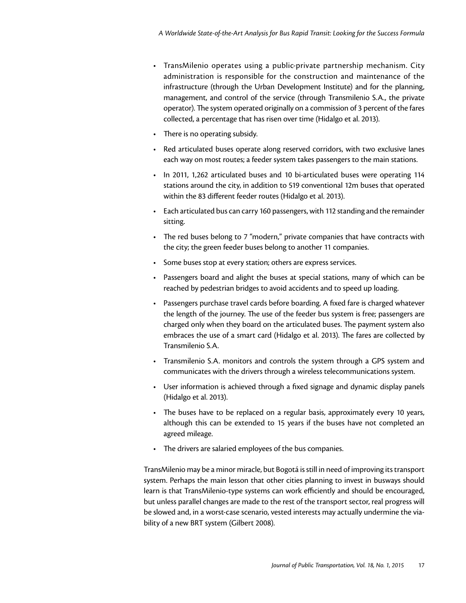- TransMilenio operates using a public-private partnership mechanism. City administration is responsible for the construction and maintenance of the infrastructure (through the Urban Development Institute) and for the planning, management, and control of the service (through Transmilenio S.A., the private operator). The system operated originally on a commission of 3 percent of the fares collected, a percentage that has risen over time (Hidalgo et al. 2013).
- There is no operating subsidy.
- • Red articulated buses operate along reserved corridors, with two exclusive lanes each way on most routes; a feeder system takes passengers to the main stations.
- In 2011, 1,262 articulated buses and 10 bi-articulated buses were operating 114 stations around the city, in addition to 519 conventional 12m buses that operated within the 83 different feeder routes (Hidalgo et al. 2013).
- • Each articulated bus can carry 160 passengers, with 112 standing and the remainder sitting.
- The red buses belong to 7 "modern," private companies that have contracts with the city; the green feeder buses belong to another 11 companies.
- Some buses stop at every station; others are express services.
- • Passengers board and alight the buses at special stations, many of which can be reached by pedestrian bridges to avoid accidents and to speed up loading.
- • Passengers purchase travel cards before boarding. A fixed fare is charged whatever the length of the journey. The use of the feeder bus system is free; passengers are charged only when they board on the articulated buses. The payment system also embraces the use of a smart card (Hidalgo et al. 2013). The fares are collected by Transmilenio S.A.
- Transmilenio S.A. monitors and controls the system through a GPS system and communicates with the drivers through a wireless telecommunications system.
- User information is achieved through a fixed signage and dynamic display panels (Hidalgo et al. 2013).
- The buses have to be replaced on a regular basis, approximately every 10 years, although this can be extended to 15 years if the buses have not completed an agreed mileage.
- The drivers are salaried employees of the bus companies.

TransMilenio may be a minor miracle, but Bogotá is still in need of improving its transport system. Perhaps the main lesson that other cities planning to invest in busways should learn is that TransMilenio-type systems can work efficiently and should be encouraged, but unless parallel changes are made to the rest of the transport sector, real progress will be slowed and, in a worst-case scenario, vested interests may actually undermine the viability of a new BRT system (Gilbert 2008).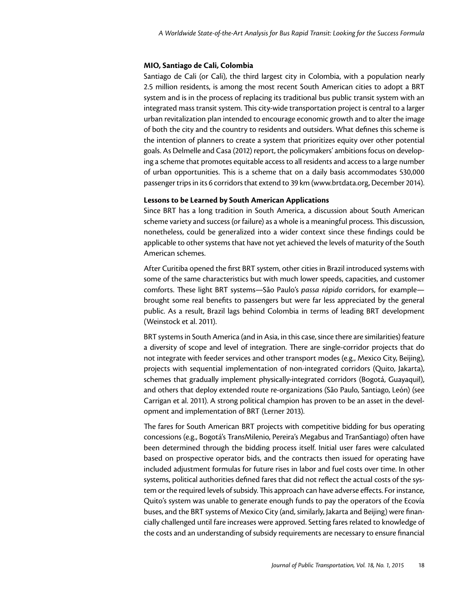#### **MIO, Santiago de Cali, Colombia**

Santiago de Cali (or Cali), the third largest city in Colombia, with a population nearly 2.5 million residents, is among the most recent South American cities to adopt a BRT system and is in the process of replacing its traditional bus public transit system with an integrated mass transit system. This city-wide transportation project is central to a larger urban revitalization plan intended to encourage economic growth and to alter the image of both the city and the country to residents and outsiders. What defines this scheme is the intention of planners to create a system that prioritizes equity over other potential goals. As Delmelle and Casa (2012) report, the policymakers' ambitions focus on developing a scheme that promotes equitable access to all residents and access to a large number of urban opportunities. This is a scheme that on a daily basis accommodates 530,000 passenger trips in its 6 corridors that extend to 39 km [\(www.brtdata.org](www.brtdata.org), December 2014).

#### **Lessons to be Learned by South American Applications**

Since BRT has a long tradition in South America, a discussion about South American scheme variety and success (or failure) as a whole is a meaningful process. This discussion, nonetheless, could be generalized into a wider context since these findings could be applicable to other systems that have not yet achieved the levels of maturity of the South American schemes.

After Curitiba opened the first BRT system, other cities in Brazil introduced systems with some of the same characteristics but with much lower speeds, capacities, and customer comforts. These light BRT systems—São Paulo's *passa rápido* corridors, for example brought some real benefits to passengers but were far less appreciated by the general public. As a result, Brazil lags behind Colombia in terms of leading BRT development (Weinstock et al. 2011).

BRT systems in South America (and in Asia, in this case, since there are similarities) feature a diversity of scope and level of integration. There are single-corridor projects that do not integrate with feeder services and other transport modes (e.g., Mexico City, Beijing), projects with sequential implementation of non-integrated corridors (Quito, Jakarta), schemes that gradually implement physically-integrated corridors (Bogotá, Guayaquil), and others that deploy extended route re-organizations (São Paulo, Santiago, León) (see Carrigan et al. 2011). A strong political champion has proven to be an asset in the development and implementation of BRT (Lerner 2013).

The fares for South American BRT projects with competitive bidding for bus operating concessions (e.g., Bogotá's TransMilenio, Pereira's Megabus and TranSantiago) often have been determined through the bidding process itself. Initial user fares were calculated based on prospective operator bids, and the contracts then issued for operating have included adjustment formulas for future rises in labor and fuel costs over time. In other systems, political authorities defined fares that did not reflect the actual costs of the system or the required levels of subsidy. This approach can have adverse effects. For instance, Quito's system was unable to generate enough funds to pay the operators of the Ecovía buses, and the BRT systems of Mexico City (and, similarly, Jakarta and Beijing) were financially challenged until fare increases were approved. Setting fares related to knowledge of the costs and an understanding of subsidy requirements are necessary to ensure financial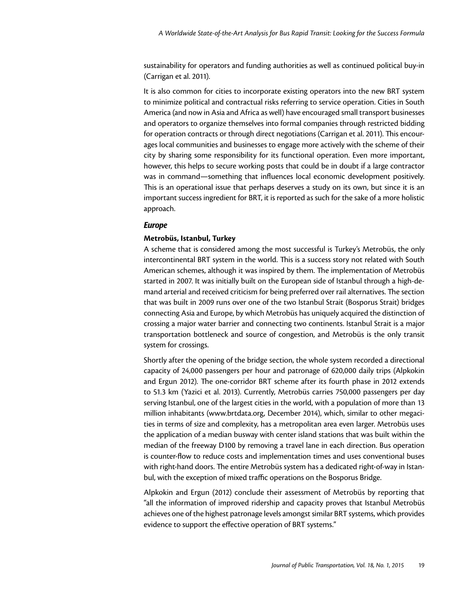sustainability for operators and funding authorities as well as continued political buy-in (Carrigan et al. 2011).

It is also common for cities to incorporate existing operators into the new BRT system to minimize political and contractual risks referring to service operation. Cities in South America (and now in Asia and Africa as well) have encouraged small transport businesses and operators to organize themselves into formal companies through restricted bidding for operation contracts or through direct negotiations (Carrigan et al. 2011). This encourages local communities and businesses to engage more actively with the scheme of their city by sharing some responsibility for its functional operation. Even more important, however, this helps to secure working posts that could be in doubt if a large contractor was in command—something that influences local economic development positively. This is an operational issue that perhaps deserves a study on its own, but since it is an important success ingredient for BRT, it is reported as such for the sake of a more holistic approach.

#### *Europe*

#### **Metrobüs, Istanbul, Turkey**

A scheme that is considered among the most successful is Turkey's Metrobüs, the only intercontinental BRT system in the world. This is a success story not related with South American schemes, although it was inspired by them. The implementation of Metrobüs started in 2007. It was initially built on the European side of Istanbul through a high-demand arterial and received criticism for being preferred over rail alternatives. The section that was built in 2009 runs over one of the two Istanbul Strait (Bosporus Strait) bridges connecting Asia and Europe, by which Metrobüs has uniquely acquired the distinction of crossing a major water barrier and connecting two continents. Istanbul Strait is a major transportation bottleneck and source of congestion, and Metrobüs is the only transit system for crossings.

Shortly after the opening of the bridge section, the whole system recorded a directional capacity of 24,000 passengers per hour and patronage of 620,000 daily trips (Alpkokin and Ergun 2012). The one-corridor BRT scheme after its fourth phase in 2012 extends to 51.3 km (Yazici et al. 2013). Currently, Metrobüs carries 750,000 passengers per day serving Istanbul, one of the largest cities in the world, with a population of more than 13 million inhabitants [\(www.brtdata.org,](www.brtdata.org) December 2014), which, similar to other megacities in terms of size and complexity, has a metropolitan area even larger. Metrobüs uses the application of a median busway with center island stations that was built within the median of the freeway D100 by removing a travel lane in each direction. Bus operation is counter-flow to reduce costs and implementation times and uses conventional buses with right-hand doors. The entire Metrobüs system has a dedicated right-of-way in Istanbul, with the exception of mixed traffic operations on the Bosporus Bridge.

Alpkokin and Ergun (2012) conclude their assessment of Metrobüs by reporting that "all the information of improved ridership and capacity proves that Istanbul Metrobüs achieves one of the highest patronage levels amongst similar BRT systems, which provides evidence to support the effective operation of BRT systems."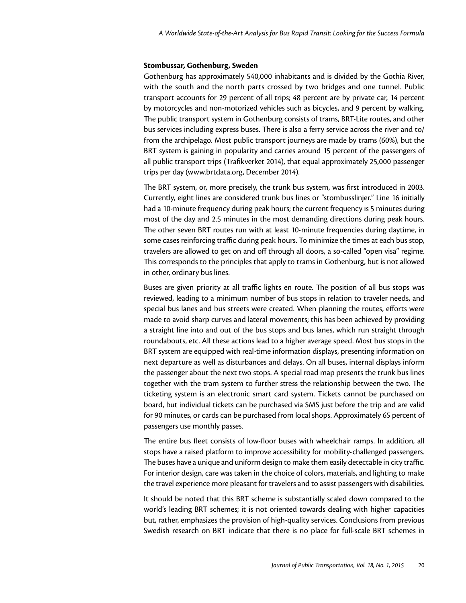#### **Stombussar, Gothenburg, Sweden**

Gothenburg has approximately 540,000 inhabitants and is divided by the Gothia River, with the south and the north parts crossed by two bridges and one tunnel. Public transport accounts for 29 percent of all trips; 48 percent are by private car, 14 percent by motorcycles and non-motorized vehicles such as bicycles, and 9 percent by walking. The public transport system in Gothenburg consists of trams, BRT-Lite routes, and other bus services including express buses. There is also a ferry service across the river and to/ from the archipelago. Most public transport journeys are made by trams (60%), but the BRT system is gaining in popularity and carries around 15 percent of the passengers of all public transport trips (Trafikverket 2014), that equal approximately 25,000 passenger trips per day [\(www.brtdata.org](www.brtdata.org), December 2014).

The BRT system, or, more precisely, the trunk bus system, was first introduced in 2003. Currently, eight lines are considered trunk bus lines or "stombusslinjer." Line 16 initially had a 10-minute frequency during peak hours; the current frequency is 5 minutes during most of the day and 2.5 minutes in the most demanding directions during peak hours. The other seven BRT routes run with at least 10-minute frequencies during daytime, in some cases reinforcing traffic during peak hours. To minimize the times at each bus stop, travelers are allowed to get on and off through all doors, a so-called "open visa" regime. This corresponds to the principles that apply to trams in Gothenburg, but is not allowed in other, ordinary bus lines.

Buses are given priority at all traffic lights en route. The position of all bus stops was reviewed, leading to a minimum number of bus stops in relation to traveler needs, and special bus lanes and bus streets were created. When planning the routes, efforts were made to avoid sharp curves and lateral movements; this has been achieved by providing a straight line into and out of the bus stops and bus lanes, which run straight through roundabouts, etc. All these actions lead to a higher average speed. Most bus stops in the BRT system are equipped with real-time information displays, presenting information on next departure as well as disturbances and delays. On all buses, internal displays inform the passenger about the next two stops. A special road map presents the trunk bus lines together with the tram system to further stress the relationship between the two. The ticketing system is an electronic smart card system. Tickets cannot be purchased on board, but individual tickets can be purchased via SMS just before the trip and are valid for 90 minutes, or cards can be purchased from local shops. Approximately 65 percent of passengers use monthly passes.

The entire bus fleet consists of low-floor buses with wheelchair ramps. In addition, all stops have a raised platform to improve accessibility for mobility-challenged passengers. The buses have a unique and uniform design to make them easily detectable in city traffic. For interior design, care was taken in the choice of colors, materials, and lighting to make the travel experience more pleasant for travelers and to assist passengers with disabilities.

It should be noted that this BRT scheme is substantially scaled down compared to the world's leading BRT schemes; it is not oriented towards dealing with higher capacities but, rather, emphasizes the provision of high-quality services. Conclusions from previous Swedish research on BRT indicate that there is no place for full-scale BRT schemes in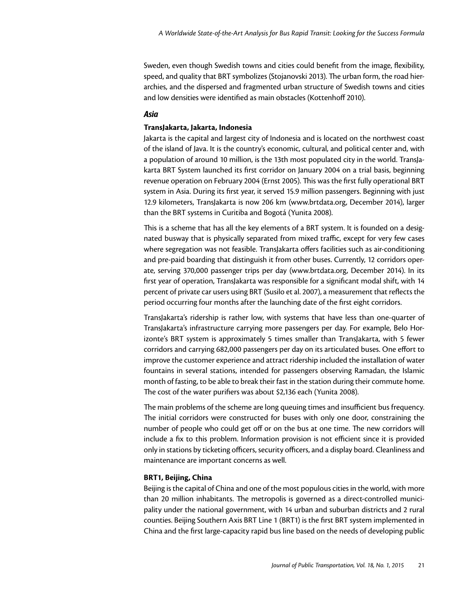Sweden, even though Swedish towns and cities could benefit from the image, flexibility, speed, and quality that BRT symbolizes (Stojanovski 2013). The urban form, the road hierarchies, and the dispersed and fragmented urban structure of Swedish towns and cities and low densities were identified as main obstacles (Kottenhoff 2010).

## *Asia*

#### **TransJakarta, Jakarta, Indonesia**

Jakarta is the capital and largest city of Indonesia and is located on the northwest coast of the island of Java. It is the country's economic, cultural, and political center and, with a population of around 10 million, is the 13th most populated city in the world. TransJakarta BRT System launched its first corridor on January 2004 on a trial basis, beginning revenue operation on February 2004 (Ernst 2005). This was the first fully operational BRT system in Asia. During its first year, it served 15.9 million passengers. Beginning with just 12.9 kilometers, TransJakarta is now 206 km [\(www.brtdata.org,](www.brtdata.org) December 2014), larger than the BRT systems in Curitiba and Bogotá (Yunita 2008).

This is a scheme that has all the key elements of a BRT system. It is founded on a designated busway that is physically separated from mixed traffic, except for very few cases where segregation was not feasible. TransJakarta offers facilities such as air-conditioning and pre-paid boarding that distinguish it from other buses. Currently, 12 corridors operate, serving 370,000 passenger trips per day [\(www.brtdata.org,](www.brtdata.org) December 2014). In its first year of operation, TransJakarta was responsible for a significant modal shift, with 14 percent of private car users using BRT (Susilo et al. 2007), a measurement that reflects the period occurring four months after the launching date of the first eight corridors.

TransJakarta's ridership is rather low, with systems that have less than one-quarter of TransJakarta's infrastructure carrying more passengers per day. For example, Belo Horizonte's BRT system is approximately 5 times smaller than TransJakarta, with 5 fewer corridors and carrying 682,000 passengers per day on its articulated buses. One effort to improve the customer experience and attract ridership included the installation of water fountains in several stations, intended for passengers observing Ramadan, the Islamic month of fasting, to be able to break their fast in the station during their commute home. The cost of the water purifiers was about \$2,136 each (Yunita 2008).

The main problems of the scheme are long queuing times and insufficient bus frequency. The initial corridors were constructed for buses with only one door, constraining the number of people who could get off or on the bus at one time. The new corridors will include a fix to this problem. Information provision is not efficient since it is provided only in stations by ticketing officers, security officers, and a display board. Cleanliness and maintenance are important concerns as well.

#### **BRT1, Beijing, China**

Beijing is the capital of China and one of the most populous cities in the world, with more than 20 million inhabitants. The metropolis is governed as a direct-controlled municipality under the national government, with 14 urban and suburban districts and 2 rural counties. Beijing Southern Axis BRT Line 1 (BRT1) is the first BRT system implemented in China and the first large-capacity rapid bus line based on the needs of developing public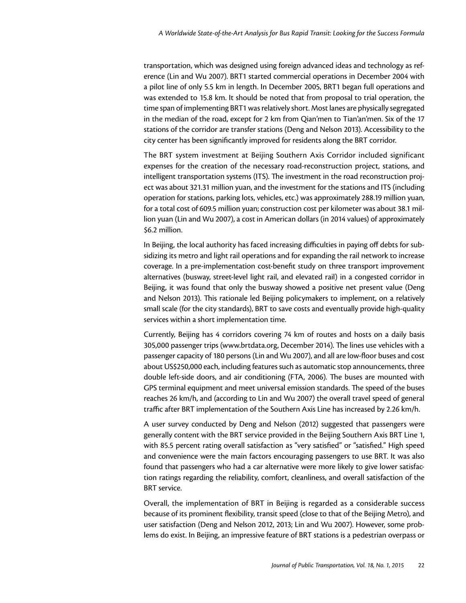transportation, which was designed using foreign advanced ideas and technology as reference (Lin and Wu 2007). BRT1 started commercial operations in December 2004 with a pilot line of only 5.5 km in length. In December 2005, BRT1 began full operations and was extended to 15.8 km. It should be noted that from proposal to trial operation, the time span of implementing BRT1 was relatively short. Most lanes are physically segregated in the median of the road, except for 2 km from Qian'men to Tian'an'men. Six of the 17 stations of the corridor are transfer stations (Deng and Nelson 2013). Accessibility to the city center has been significantly improved for residents along the BRT corridor.

The BRT system investment at Beijing Southern Axis Corridor included significant expenses for the creation of the necessary road-reconstruction project, stations, and intelligent transportation systems (ITS). The investment in the road reconstruction project was about 321.31 million yuan, and the investment for the stations and ITS (including operation for stations, parking lots, vehicles, etc.) was approximately 288.19 million yuan, for a total cost of 609.5 million yuan; construction cost per kilometer was about 38.1 million yuan (Lin and Wu 2007), a cost in American dollars (in 2014 values) of approximately \$6.2 million.

In Beijing, the local authority has faced increasing difficulties in paying off debts for subsidizing its metro and light rail operations and for expanding the rail network to increase coverage. In a pre-implementation cost-benefit study on three transport improvement alternatives (busway, street-level light rail, and elevated rail) in a congested corridor in Beijing, it was found that only the busway showed a positive net present value (Deng and Nelson 2013). This rationale led Beijing policymakers to implement, on a relatively small scale (for the city standards), BRT to save costs and eventually provide high-quality services within a short implementation time.

Currently, Beijing has 4 corridors covering 74 km of routes and hosts on a daily basis 305,000 passenger trips [\(www.brtdata.org,](www.brtdata.org) December 2014). The lines use vehicles with a passenger capacity of 180 persons (Lin and Wu 2007), and all are low-floor buses and cost about US\$250,000 each, including features such as automatic stop announcements, three double left-side doors, and air conditioning (FTA, 2006). The buses are mounted with GPS terminal equipment and meet universal emission standards. The speed of the buses reaches 26 km/h, and (according to Lin and Wu 2007) the overall travel speed of general traffic after BRT implementation of the Southern Axis Line has increased by 2.26 km/h.

A user survey conducted by Deng and Nelson (2012) suggested that passengers were generally content with the BRT service provided in the Beijing Southern Axis BRT Line 1, with 85.5 percent rating overall satisfaction as "very satisfied" or "satisfied." High speed and convenience were the main factors encouraging passengers to use BRT. It was also found that passengers who had a car alternative were more likely to give lower satisfaction ratings regarding the reliability, comfort, cleanliness, and overall satisfaction of the BRT service.

Overall, the implementation of BRT in Beijing is regarded as a considerable success because of its prominent flexibility, transit speed (close to that of the Beijing Metro), and user satisfaction (Deng and Nelson 2012, 2013; Lin and Wu 2007). However, some problems do exist. In Beijing, an impressive feature of BRT stations is a pedestrian overpass or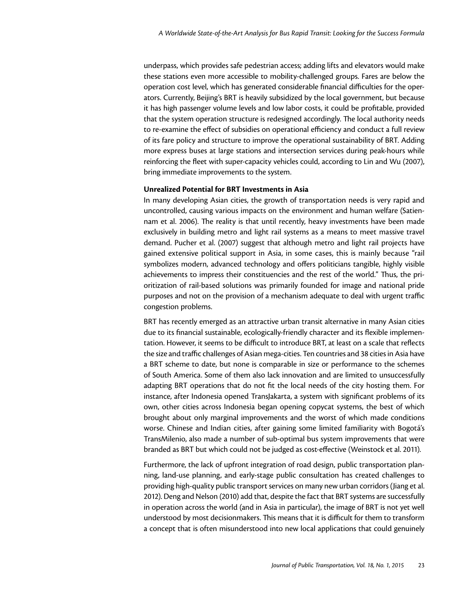underpass, which provides safe pedestrian access; adding lifts and elevators would make these stations even more accessible to mobility-challenged groups. Fares are below the operation cost level, which has generated considerable financial difficulties for the operators. Currently, Beijing's BRT is heavily subsidized by the local government, but because it has high passenger volume levels and low labor costs, it could be profitable, provided that the system operation structure is redesigned accordingly. The local authority needs to re-examine the effect of subsidies on operational efficiency and conduct a full review of its fare policy and structure to improve the operational sustainability of BRT. Adding more express buses at large stations and intersection services during peak-hours while reinforcing the fleet with super-capacity vehicles could, according to Lin and Wu (2007), bring immediate improvements to the system.

## **Unrealized Potential for BRT Investments in Asia**

In many developing Asian cities, the growth of transportation needs is very rapid and uncontrolled, causing various impacts on the environment and human welfare (Satiennam et al. 2006). The reality is that until recently, heavy investments have been made exclusively in building metro and light rail systems as a means to meet massive travel demand. Pucher et al. (2007) suggest that although metro and light rail projects have gained extensive political support in Asia, in some cases, this is mainly because "rail symbolizes modern, advanced technology and offers politicians tangible, highly visible achievements to impress their constituencies and the rest of the world." Thus, the prioritization of rail-based solutions was primarily founded for image and national pride purposes and not on the provision of a mechanism adequate to deal with urgent traffic congestion problems.

BRT has recently emerged as an attractive urban transit alternative in many Asian cities due to its financial sustainable, ecologically-friendly character and its flexible implementation. However, it seems to be difficult to introduce BRT, at least on a scale that reflects the size and traffic challenges of Asian mega-cities. Ten countries and 38 cities in Asia have a BRT scheme to date, but none is comparable in size or performance to the schemes of South America. Some of them also lack innovation and are limited to unsuccessfully adapting BRT operations that do not fit the local needs of the city hosting them. For instance, after Indonesia opened TransJakarta, a system with significant problems of its own, other cities across Indonesia began opening copycat systems, the best of which brought about only marginal improvements and the worst of which made conditions worse. Chinese and Indian cities, after gaining some limited familiarity with Bogotá's TransMilenio, also made a number of sub-optimal bus system improvements that were branded as BRT but which could not be judged as cost-effective (Weinstock et al. 2011).

Furthermore, the lack of upfront integration of road design, public transportation planning, land-use planning, and early-stage public consultation has created challenges to providing high-quality public transport services on many new urban corridors (Jiang et al. 2012). Deng and Nelson (2010) add that, despite the fact that BRT systems are successfully in operation across the world (and in Asia in particular), the image of BRT is not yet well understood by most decisionmakers. This means that it is difficult for them to transform a concept that is often misunderstood into new local applications that could genuinely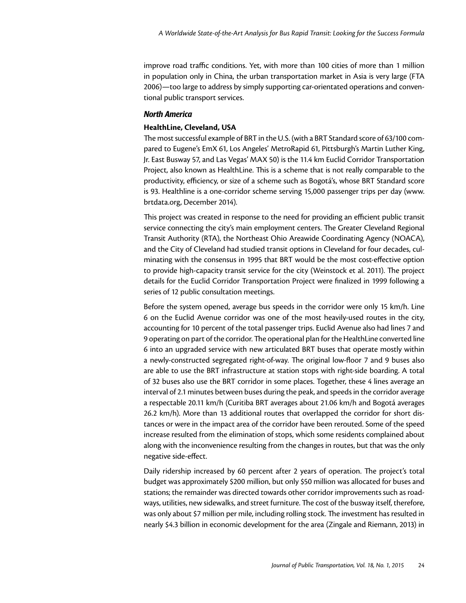improve road traffic conditions. Yet, with more than 100 cities of more than 1 million in population only in China, the urban transportation market in Asia is very large (FTA 2006)—too large to address by simply supporting car-orientated operations and conventional public transport services.

## *North America*

## **HealthLine, Cleveland, USA**

The most successful example of BRT in the U.S. (with a BRT Standard score of 63/100 compared to Eugene's EmX 61, Los Angeles' MetroRapid 61, Pittsburgh's Martin Luther King, Jr. East Busway 57, and Las Vegas' MAX 50) is the 11.4 km Euclid Corridor Transportation Project, also known as HealthLine. This is a scheme that is not really comparable to the productivity, efficiency, or size of a scheme such as Bogotá's, whose BRT Standard score is 93. Healthline is a one-corridor scheme serving 15,000 passenger trips per day [\(www.](www.brtdata.org) [brtdata.org](www.brtdata.org), December 2014).

This project was created in response to the need for providing an efficient public transit service connecting the city's main employment centers. The Greater Cleveland Regional Transit Authority (RTA), the Northeast Ohio Areawide Coordinating Agency (NOACA), and the City of Cleveland had studied transit options in Cleveland for four decades, culminating with the consensus in 1995 that BRT would be the most cost-effective option to provide high-capacity transit service for the city (Weinstock et al. 2011). The project details for the Euclid Corridor Transportation Project were finalized in 1999 following a series of 12 public consultation meetings.

Before the system opened, average bus speeds in the corridor were only 15 km/h. Line 6 on the Euclid Avenue corridor was one of the most heavily-used routes in the city, accounting for 10 percent of the total passenger trips. Euclid Avenue also had lines 7 and 9 operating on part of the corridor. The operational plan for the HealthLine converted line 6 into an upgraded service with new articulated BRT buses that operate mostly within a newly-constructed segregated right-of-way. The original low-floor 7 and 9 buses also are able to use the BRT infrastructure at station stops with right-side boarding. A total of 32 buses also use the BRT corridor in some places. Together, these 4 lines average an interval of 2.1 minutes between buses during the peak, and speeds in the corridor average a respectable 20.11 km/h (Curitiba BRT averages about 21.06 km/h and Bogotá averages 26.2 km/h). More than 13 additional routes that overlapped the corridor for short distances or were in the impact area of the corridor have been rerouted. Some of the speed increase resulted from the elimination of stops, which some residents complained about along with the inconvenience resulting from the changes in routes, but that was the only negative side-effect.

Daily ridership increased by 60 percent after 2 years of operation. The project's total budget was approximately \$200 million, but only \$50 million was allocated for buses and stations; the remainder was directed towards other corridor improvements such as roadways, utilities, new sidewalks, and street furniture. The cost of the busway itself, therefore, was only about \$7 million per mile, including rolling stock. The investment has resulted in nearly \$4.3 billion in economic development for the area (Zingale and Riemann, 2013) in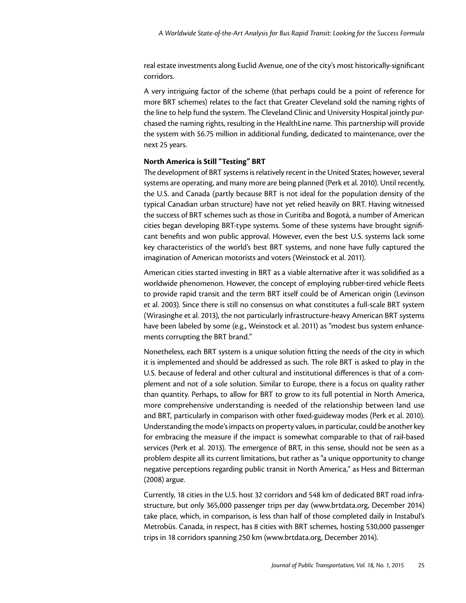real estate investments along Euclid Avenue, one of the city's most historically-significant corridors.

A very intriguing factor of the scheme (that perhaps could be a point of reference for more BRT schemes) relates to the fact that Greater Cleveland sold the naming rights of the line to help fund the system. The Cleveland Clinic and University Hospital jointly purchased the naming rights, resulting in the HealthLine name. This partnership will provide the system with \$6.75 million in additional funding, dedicated to maintenance, over the next 25 years.

## **North America is Still "Testing" BRT**

The development of BRT systems is relatively recent in the United States; however, several systems are operating, and many more are being planned (Perk et al. 2010). Until recently, the U.S. and Canada (partly because BRT is not ideal for the population density of the typical Canadian urban structure) have not yet relied heavily on BRT. Having witnessed the success of BRT schemes such as those in Curitiba and Bogotá, a number of American cities began developing BRT-type systems. Some of these systems have brought significant benefits and won public approval. However, even the best U.S. systems lack some key characteristics of the world's best BRT systems, and none have fully captured the imagination of American motorists and voters (Weinstock et al. 2011).

American cities started investing in BRT as a viable alternative after it was solidified as a worldwide phenomenon. However, the concept of employing rubber-tired vehicle fleets to provide rapid transit and the term BRT itself could be of American origin (Levinson et al. 2003). Since there is still no consensus on what constitutes a full-scale BRT system (Wirasinghe et al. 2013), the not particularly infrastructure-heavy American BRT systems have been labeled by some (e.g., Weinstock et al. 2011) as "modest bus system enhancements corrupting the BRT brand."

Nonetheless, each BRT system is a unique solution fitting the needs of the city in which it is implemented and should be addressed as such. The role BRT is asked to play in the U.S. because of federal and other cultural and institutional differences is that of a complement and not of a sole solution. Similar to Europe, there is a focus on quality rather than quantity. Perhaps, to allow for BRT to grow to its full potential in North America, more comprehensive understanding is needed of the relationship between land use and BRT, particularly in comparison with other fixed-guideway modes (Perk et al. 2010). Understanding the mode's impacts on property values, in particular, could be another key for embracing the measure if the impact is somewhat comparable to that of rail-based services (Perk et al. 2013). The emergence of BRT, in this sense, should not be seen as a problem despite all its current limitations, but rather as "a unique opportunity to change negative perceptions regarding public transit in North America," as Hess and Bitterman (2008) argue.

Currently, 18 cities in the U.S. host 32 corridors and 548 km of dedicated BRT road infrastructure, but only 365,000 passenger trips per day [\(www.brtdata.org,](www.brtdata.org) December 2014) take place, which, in comparison, is less than half of those completed daily in Instabul's Metrobüs. Canada, in respect, has 8 cities with BRT schemes, hosting 530,000 passenger trips in 18 corridors spanning 250 km [\(www.brtdata.org](www.brtdata.org), December 2014).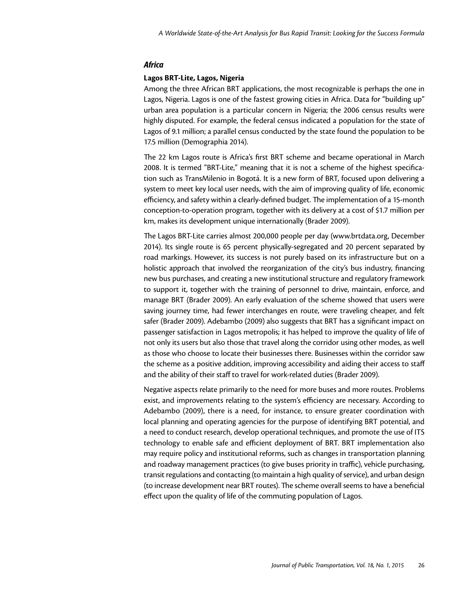#### *Africa*

#### **Lagos BRT-Lite, Lagos, Nigeria**

Among the three African BRT applications, the most recognizable is perhaps the one in Lagos, Nigeria. Lagos is one of the fastest growing cities in Africa. Data for "building up" urban area population is a particular concern in Nigeria; the 2006 census results were highly disputed. For example, the federal census indicated a population for the state of Lagos of 9.1 million; a parallel census conducted by the state found the population to be 17.5 million (Demographia 2014).

The 22 km Lagos route is Africa's first BRT scheme and became operational in March 2008. It is termed "BRT-Lite," meaning that it is not a scheme of the highest specification such as TransMilenio in Bogotá. It is a new form of BRT, focused upon delivering a system to meet key local user needs, with the aim of improving quality of life, economic efficiency, and safety within a clearly-defined budget. The implementation of a 15-month conception-to-operation program, together with its delivery at a cost of \$1.7 million per km, makes its development unique internationally (Brader 2009).

The Lagos BRT-Lite carries almost 200,000 people per day [\(www.brtdata.org,](www.brtdata.org) December 2014). Its single route is 65 percent physically-segregated and 20 percent separated by road markings. However, its success is not purely based on its infrastructure but on a holistic approach that involved the reorganization of the city's bus industry, financing new bus purchases, and creating a new institutional structure and regulatory framework to support it, together with the training of personnel to drive, maintain, enforce, and manage BRT (Brader 2009). An early evaluation of the scheme showed that users were saving journey time, had fewer interchanges en route, were traveling cheaper, and felt safer (Brader 2009). Adebambo (2009) also suggests that BRT has a significant impact on passenger satisfaction in Lagos metropolis; it has helped to improve the quality of life of not only its users but also those that travel along the corridor using other modes, as well as those who choose to locate their businesses there. Businesses within the corridor saw the scheme as a positive addition, improving accessibility and aiding their access to staff and the ability of their staff to travel for work-related duties (Brader 2009).

Negative aspects relate primarily to the need for more buses and more routes. Problems exist, and improvements relating to the system's efficiency are necessary. According to Adebambo (2009), there is a need, for instance, to ensure greater coordination with local planning and operating agencies for the purpose of identifying BRT potential, and a need to conduct research, develop operational techniques, and promote the use of ITS technology to enable safe and efficient deployment of BRT. BRT implementation also may require policy and institutional reforms, such as changes in transportation planning and roadway management practices (to give buses priority in traffic), vehicle purchasing, transit regulations and contacting (to maintain a high quality of service), and urban design (to increase development near BRT routes). The scheme overall seems to have a beneficial effect upon the quality of life of the commuting population of Lagos.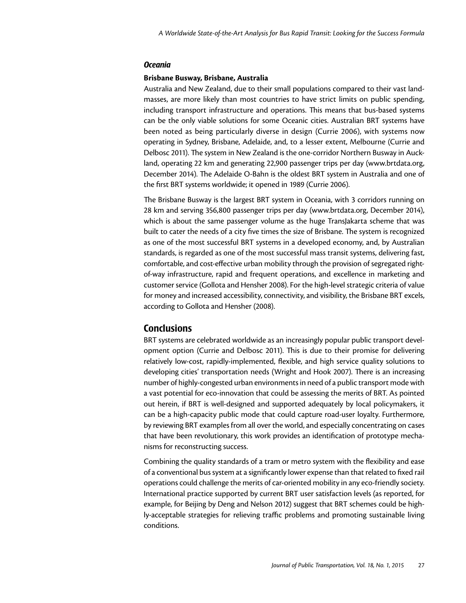#### *Oceania*

#### **Brisbane Busway, Brisbane, Australia**

Australia and New Zealand, due to their small populations compared to their vast landmasses, are more likely than most countries to have strict limits on public spending, including transport infrastructure and operations. This means that bus-based systems can be the only viable solutions for some Oceanic cities. Australian BRT systems have been noted as being particularly diverse in design (Currie 2006), with systems now operating in Sydney, Brisbane, Adelaide, and, to a lesser extent, Melbourne (Currie and Delbosc 2011). The system in New Zealand is the one-corridor Northern Busway in Auckland, operating 22 km and generating 22,900 passenger trips per day [\(www.brtdata.org](www.brtdata.org), December 2014). The Adelaide O-Bahn is the oldest BRT system in Australia and one of the first BRT systems worldwide; it opened in 1989 (Currie 2006).

The Brisbane Busway is the largest BRT system in Oceania, with 3 corridors running on 28 km and serving 356,800 passenger trips per day [\(www.brtdata.org](www.brtdata.org), December 2014), which is about the same passenger volume as the huge TransJakarta scheme that was built to cater the needs of a city five times the size of Brisbane. The system is recognized as one of the most successful BRT systems in a developed economy, and, by Australian standards, is regarded as one of the most successful mass transit systems, delivering fast, comfortable, and cost-effective urban mobility through the provision of segregated rightof-way infrastructure, rapid and frequent operations, and excellence in marketing and customer service (Gollota and Hensher 2008). For the high-level strategic criteria of value for money and increased accessibility, connectivity, and visibility, the Brisbane BRT excels, according to Gollota and Hensher (2008).

## **Conclusions**

BRT systems are celebrated worldwide as an increasingly popular public transport development option (Currie and Delbosc 2011). This is due to their promise for delivering relatively low-cost, rapidly-implemented, flexible, and high service quality solutions to developing cities' transportation needs (Wright and Hook 2007). There is an increasing number of highly-congested urban environments in need of a public transport mode with a vast potential for eco-innovation that could be assessing the merits of BRT. As pointed out herein, if BRT is well-designed and supported adequately by local policymakers, it can be a high-capacity public mode that could capture road-user loyalty. Furthermore, by reviewing BRT examples from all over the world, and especially concentrating on cases that have been revolutionary, this work provides an identification of prototype mechanisms for reconstructing success.

Combining the quality standards of a tram or metro system with the flexibility and ease of a conventional bus system at a significantly lower expense than that related to fixed rail operations could challenge the merits of car-oriented mobility in any eco-friendly society. International practice supported by current BRT user satisfaction levels (as reported, for example, for Beijing by Deng and Nelson 2012) suggest that BRT schemes could be highly-acceptable strategies for relieving traffic problems and promoting sustainable living conditions.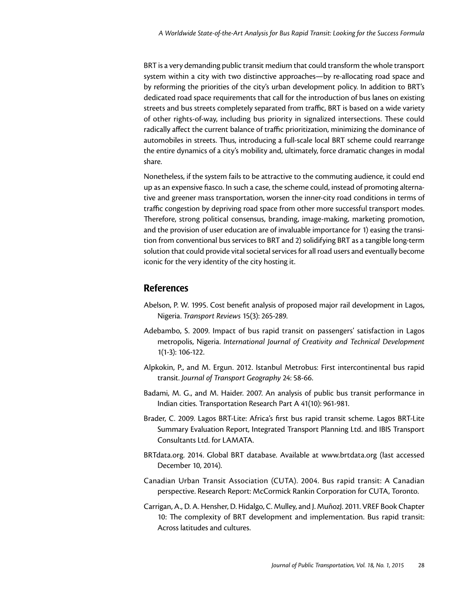BRT is a very demanding public transit medium that could transform the whole transport system within a city with two distinctive approaches—by re-allocating road space and by reforming the priorities of the city's urban development policy. In addition to BRT's dedicated road space requirements that call for the introduction of bus lanes on existing streets and bus streets completely separated from traffic, BRT is based on a wide variety of other rights-of-way, including bus priority in signalized intersections. These could radically affect the current balance of traffic prioritization, minimizing the dominance of automobiles in streets. Thus, introducing a full-scale local BRT scheme could rearrange the entire dynamics of a city's mobility and, ultimately, force dramatic changes in modal share.

Nonetheless, if the system fails to be attractive to the commuting audience, it could end up as an expensive fiasco. In such a case, the scheme could, instead of promoting alternative and greener mass transportation, worsen the inner-city road conditions in terms of traffic congestion by depriving road space from other more successful transport modes. Therefore, strong political consensus, branding, image-making, marketing promotion, and the provision of user education are of invaluable importance for 1) easing the transition from conventional bus services to BRT and 2) solidifying BRT as a tangible long-term solution that could provide vital societal services for all road users and eventually become iconic for the very identity of the city hosting it.

# References

- Abelson, P. W. 1995. Cost benefit analysis of proposed major rail development in Lagos, Nigeria. *Transport Reviews* 15(3): 265-289.
- Adebambo, S. 2009. Impact of bus rapid transit on passengers' satisfaction in Lagos metropolis, Nigeria. *International Journal of Creativity and Technical Development*  1(1-3): 106-122.
- Alpkokin, P., and M. Ergun. 2012. Istanbul Metrobus: First intercontinental bus rapid transit. *Journal of Transport Geography* 24: 58-66.
- Badami, M. G., and M. Haider. 2007. An analysis of public bus transit performance in Indian cities. Transportation Research Part A 41(10): 961-981.
- Brader, C. 2009. Lagos BRT-Lite: Africa's first bus rapid transit scheme. Lagos BRT-Lite Summary Evaluation Report, Integrated Transport Planning Ltd. and IBIS Transport Consultants Ltd. for LAMATA.
- [BRTdata.org.](BRTdata.org) 2014. Global BRT database. Available at <www.brtdata.org> (last accessed December 10, 2014).
- Canadian Urban Transit Association (CUTA). 2004. Bus rapid transit: A Canadian perspective. Research Report: McCormick Rankin Corporation for CUTA, Toronto.
- Carrigan, A., D. A. Hensher, D. Hidalgo, C. Mulley, and J. MuñozJ. 2011. VREF Book Chapter 10: The complexity of BRT development and implementation. Bus rapid transit: Across latitudes and cultures.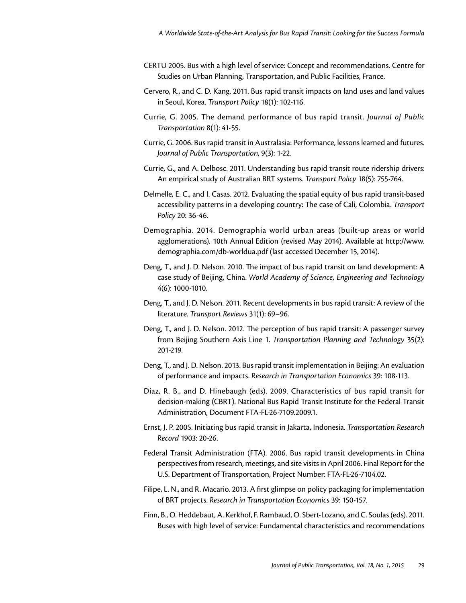- CERTU 2005. Bus with a high level of service: Concept and recommendations. Centre for Studies on Urban Planning, Transportation, and Public Facilities, France.
- Cervero, R., and C. D. Kang. 2011. Bus rapid transit impacts on land uses and land values in Seoul, Korea. *Transport Policy* 18(1): 102-116.
- Currie, G. 2005. The demand performance of bus rapid transit. *Journal of Public Transportation* 8(1): 41-55.
- Currie, G. 2006. Bus rapid transit in Australasia: Performance, lessons learned and futures. *Journal of Public Transportation*, 9(3): 1-22.
- Currie, G., and A. Delbosc. 2011. Understanding bus rapid transit route ridership drivers: An empirical study of Australian BRT systems. *Transport Policy* 18(5): 755-764.
- Delmelle, E. C., and I. Casas. 2012. Evaluating the spatial equity of bus rapid transit-based accessibility patterns in a developing country: The case of Cali, Colombia. *Transport Policy* 20: 36-46.
- Demographia. 2014. Demographia world urban areas (built-up areas or world agglomerations). 10th Annual Edition (revised May 2014). Available at [http://www.](http://www.demographia.com/db-worldua.pdf) [demographia.com/db-worldua.pdf](http://www.demographia.com/db-worldua.pdf) (last accessed December 15, 2014).
- Deng, T., and J. D. Nelson. 2010. The impact of bus rapid transit on land development: A case study of Beijing, China. *World Academy of Science, Engineering and Technology*  4(6): 1000-1010.
- Deng, T., and J. D. Nelson. 2011. Recent developments in bus rapid transit: A review of the literature. *Transport Reviews* 31(1): 69–96.
- Deng, T., and J. D. Nelson. 2012. The perception of bus rapid transit: A passenger survey from Beijing Southern Axis Line 1. *Transportation Planning and Technology* 35(2): 201-219.
- Deng, T., and J. D. Nelson. 2013. Bus rapid transit implementation in Beijing: An evaluation of performance and impacts. *Research in Transportation Economics* 39: 108-113.
- Diaz, R. B., and D. Hinebaugh (eds). 2009. Characteristics of bus rapid transit for decision-making (CBRT). National Bus Rapid Transit Institute for the Federal Transit Administration, Document FTA-FL-26-7109.2009.1.
- Ernst, J. P. 2005. Initiating bus rapid transit in Jakarta, Indonesia. *Transportation Research Record* 1903: 20-26.
- Federal Transit Administration (FTA). 2006. Bus rapid transit developments in China perspectives from research, meetings, and site visits in April 2006. Final Report for the U.S. Department of Transportation, Project Number: FTA-FL-26-7104.02.
- Filipe, L. N., and R. Macario. 2013. A first glimpse on policy packaging for implementation of BRT projects. *Research in Transportation Economics* 39: 150-157.
- Finn, B., O. Heddebaut, A. Kerkhof, F. Rambaud, O. Sbert-Lozano, and C. Soulas (eds). 2011. Buses with high level of service: Fundamental characteristics and recommendations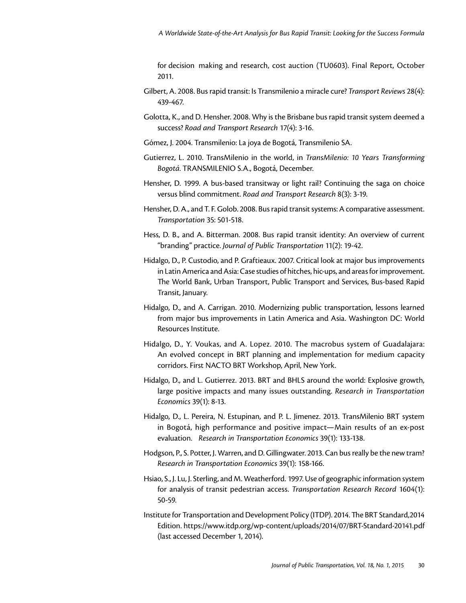for decision making and research, cost auction (TU0603). Final Report, October 2011.

- Gilbert, A. 2008. Bus rapid transit: Is Transmilenio a miracle cure? *Transport Reviews* 28(4): 439-467.
- Golotta, K., and D. Hensher. 2008. Why is the Brisbane bus rapid transit system deemed a success? *Road and Transport Research* 17(4): 3-16.
- Gómez, J. 2004. Transmilenio: La joya de Bogotá, Transmilenio SA.
- Gutierrez, L. 2010. TransMilenio in the world, in *TransMilenio: 10 Years Transforming Bogotá*. TRANSMILENIO S.A., Bogotá, December.
- Hensher, D. 1999. A bus-based transitway or light rail? Continuing the saga on choice versus blind commitment. *Road and Transport Research* 8(3): 3-19.
- Hensher, D. A., and T. F. Golob. 2008. Bus rapid transit systems: A comparative assessment. *Transportation* 35: 501-518.
- Hess, D. B., and A. Bitterman. 2008. Bus rapid transit identity: An overview of current "branding" practice. *Journal of Public Transportation* 11(2): 19-42.
- Hidalgo, D., P. Custodio, and P. Graftieaux. 2007. Critical look at major bus improvements in Latin America and Asia: Case studies of hitches, hic-ups, and areas for improvement. The World Bank, Urban Transport, Public Transport and Services, Bus-based Rapid Transit, January.
- Hidalgo, D., and A. Carrigan. 2010. Modernizing public transportation, lessons learned from major bus improvements in Latin America and Asia. Washington DC: World Resources Institute.
- Hidalgo, D., Y. Voukas, and A. Lopez. 2010. The macrobus system of Guadalajara: An evolved concept in BRT planning and implementation for medium capacity corridors. First NACTO BRT Workshop, April, New York.
- Hidalgo, D., and L. Gutierrez. 2013. BRT and BHLS around the world: Explosive growth, large positive impacts and many issues outstanding. *Research in Transportation Economics* 39(1): 8-13.
- Hidalgo, D., L. Pereira, N. Estupinan, and P. L. Jimenez. 2013. TransMilenio BRT system in Bogotá, high performance and positive impact—Main results of an ex-post evaluation. *Research in Transportation Economics* 39(1): 133-138.
- Hodgson, P., S. Potter, J. Warren, and D. Gillingwater. 2013. Can bus really be the new tram? *Research in Transportation Economics* 39(1): 158-166.
- Hsiao, S., J. Lu, J. Sterling, and M. Weatherford. 1997. Use of geographic information system for analysis of transit pedestrian access. *Transportation Research Record* 1604(1): 50-59.
- Institute for Transportation and Development Policy (ITDP). 2014. The BRT Standard,2014 Edition.<https://www.itdp.org/wp-content/uploads/2014/07/BRT-Standard-20141.pdf> (last accessed December 1, 2014).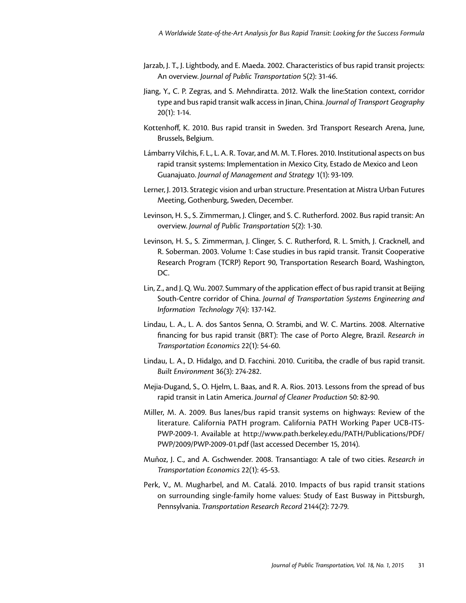- Jarzab, J. T., J. Lightbody, and E. Maeda. 2002. Characteristics of bus rapid transit projects: An overview. *Journal of Public Transportation* 5(2): 31-46.
- Jiang, Y., C. P. Zegras, and S. Mehndiratta. 2012. Walk the line:Station context, corridor type and bus rapid transit walk access in Jinan, China. *Journal of Transport Geography*  20(1): 1-14.
- Kottenhoff, K. 2010. Bus rapid transit in Sweden. 3rd Transport Research Arena, June, Brussels, Belgium.
- Lámbarry Vilchis, F. L., L. A. R. Tovar, and M. M. T. Flores. 2010. Institutional aspects on bus rapid transit systems: Implementation in Mexico City, Estado de Mexico and Leon Guanajuato. *Journal of Management and Strategy* 1(1): 93-109.
- Lerner, J. 2013. Strategic vision and urban structure. Presentation at Mistra Urban Futures Meeting, Gothenburg, Sweden, December.
- Levinson, H. S., S. Zimmerman, J. Clinger, and S. C. Rutherford. 2002. Bus rapid transit: An overview. *Journal of Public Transportation* 5(2): 1-30.
- Levinson, H. S., S. Zimmerman, J. Clinger, S. C. Rutherford, R. L. Smith, J. Cracknell, and R. Soberman. 2003. Volume 1: Case studies in bus rapid transit. Transit Cooperative Research Program (TCRP) Report 90, Transportation Research Board, Washington, DC.
- Lin, Z., and J. Q. Wu. 2007. Summary of the application effect of bus rapid transit at Beijing South-Centre corridor of China. *Journal of Transportation Systems Engineering and Information Technology* 7(4): 137-142.
- Lindau, L. A., L. A. dos Santos Senna, O. Strambi, and W. C. Martins. 2008. Alternative financing for bus rapid transit (BRT): The case of Porto Alegre, Brazil. *Research in Transportation Economics* 22(1): 54-60.
- Lindau, L. A., D. Hidalgo, and D. Facchini. 2010. Curitiba, the cradle of bus rapid transit. *Built Environment* 36(3): 274-282.
- Mejia-Dugand, S., O. Hjelm, L. Baas, and R. A. Rios. 2013. Lessons from the spread of bus rapid transit in Latin America. *Journal of Cleaner Production* 50: 82-90.
- Miller, M. A. 2009. Bus lanes/bus rapid transit systems on highways: Review of the literature. California PATH program. California PATH Working Paper UCB-ITS-PWP-2009-1. Available at [http://www.path.berkeley.edu/PATH/Publications/PDF/](http://www.path.berkeley.edu/PATH/Publications/PDF/PWP/2009/PWP-2009-01.pdf) [PWP/2009/PWP-2009-01.pdf](http://www.path.berkeley.edu/PATH/Publications/PDF/PWP/2009/PWP-2009-01.pdf) (last accessed December 15, 2014).
- Muñoz, J. C., and A. Gschwender. 2008. Transantiago: A tale of two cities. *Research in Transportation Economics* 22(1): 45-53.
- Perk, V., M. Mugharbel, and M. Catalá. 2010. Impacts of bus rapid transit stations on surrounding single-family home values: Study of East Busway in Pittsburgh, Pennsylvania. *Transportation Research Record* 2144(2): 72-79.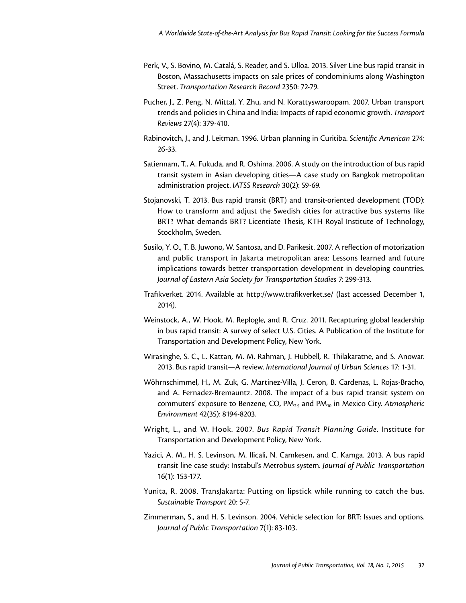- Perk, V., S. Bovino, M. Catalá, S. Reader, and S. Ulloa. 2013. Silver Line bus rapid transit in Boston, Massachusetts impacts on sale prices of condominiums along Washington Street. *Transportation Research Record* 2350: 72-79.
- Pucher, J., Z. Peng, N. Mittal, Y. Zhu, and N. Korattyswaroopam. 2007. Urban transport trends and policies in China and India: Impacts of rapid economic growth. *Transport Reviews* 27(4): 379-410.
- Rabinovitch, J., and J. Leitman. 1996. Urban planning in Curitiba. *Scientific American* 274: 26-33.
- Satiennam, T., A. Fukuda, and R. Oshima. 2006. A study on the introduction of bus rapid transit system in Asian developing cities—A case study on Bangkok metropolitan administration project. *IATSS Research* 30(2): 59-69.
- Stojanovski, T. 2013. Bus rapid transit (BRT) and transit-oriented development (TOD): How to transform and adjust the Swedish cities for attractive bus systems like BRT? What demands BRT? Licentiate Thesis, KTH Royal Institute of Technology, Stockholm, Sweden.
- Susilo, Y. O., T. B. Juwono, W. Santosa, and D. Parikesit. 2007. A reflection of motorization and public transport in Jakarta metropolitan area: Lessons learned and future implications towards better transportation development in developing countries. *Journal of Eastern Asia Society for Transportation Studies* 7: 299-313.
- Trafikverket. 2014. Available at <http://www.trafikverket.se>/ (last accessed December 1, 2014).
- Weinstock, A., W. Hook, M. Replogle, and R. Cruz. 2011. Recapturing global leadership in bus rapid transit: A survey of select U.S. Cities. A Publication of the Institute for Transportation and Development Policy, New York.
- Wirasinghe, S. C., L. Kattan, M. M. Rahman, J. Hubbell, R. Thilakaratne, and S. Anowar. 2013. Bus rapid transit—A review. *International Journal of Urban Sciences* 17: 1-31.
- Wöhrnschimmel, H., M. Zuk, G. Martinez-Villa, J. Ceron, B. Cardenas, L. Rojas-Bracho, and A. Fernadez-Bremauntz. 2008. The impact of a bus rapid transit system on commuters' exposure to Benzene, CO, PM2.5 and PM10 in Mexico City. *Atmospheric Environment* 42(35): 8194-8203.
- Wright, L., and W. Hook. 2007. *Bus Rapid Transit Planning Guide*. Institute for Transportation and Development Policy, New York.
- Yazici, A. M., H. S. Levinson, M. Ilicali, N. Camkesen, and C. Kamga. 2013. A bus rapid transit line case study: Instabul's Metrobus system. *Journal of Public Transportation*  16(1): 153-177.
- Yunita, R. 2008. TransJakarta: Putting on lipstick while running to catch the bus. *Sustainable Transport* 20: 5-7.
- Zimmerman, S., and H. S. Levinson. 2004. Vehicle selection for BRT: Issues and options. *Journal of Public Transportation* 7(1): 83-103.